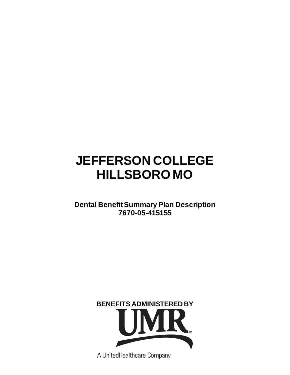# **JEFFERSON COLLEGE HILLSBORO MO**

# **Dental Benefit Summary Plan Description 7670-05-415155**



A UnitedHealthcare Company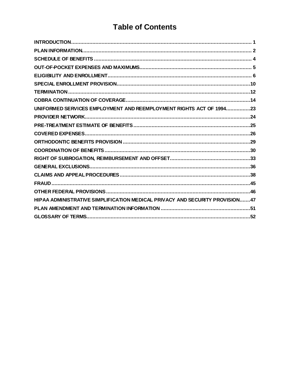# **Table of Contents**

| UNIFORMED SERVICES EMPLOYMENT AND REEMPLOYMENT RIGHTS ACT OF 199423          |  |
|------------------------------------------------------------------------------|--|
|                                                                              |  |
|                                                                              |  |
|                                                                              |  |
|                                                                              |  |
|                                                                              |  |
|                                                                              |  |
|                                                                              |  |
|                                                                              |  |
|                                                                              |  |
|                                                                              |  |
| HIPAA ADMINISTRATIVE SIMPLIFICATION MEDICAL PRIVACY AND SECURITY PROVISION47 |  |
|                                                                              |  |
|                                                                              |  |
|                                                                              |  |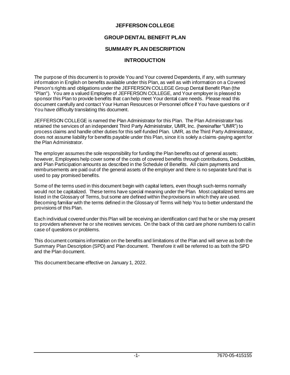# **JEFFERSON COLLEGE**

# **GROUP DENTAL BENEFIT PLAN**

# **SUMMARY PLAN DESCRIPTION**

# **INTRODUCTION**

The purpose of this document is to provide You and Your covered Dependents, if any, with summary information in English on benefits available under this Plan, as well as with information on a Covered Person's rights and obligations under the JEFFERSON COLLEGE Group Dental Benefit Plan (the "Plan"). You are a valued Employee of JEFFERSON COLLEGE, and Your employer is pleased to sponsor this Plan to provide benefits that can help meet Your dental care needs. Please read this document carefully and contact Your Human Resources or Personnel office if You have questions or if You have difficulty translating this document.

JEFFERSON COLLEGE is named the Plan Administrator for this Plan. The Plan Administrator has retained the services of an independent Third Party Administrator, UMR, Inc. (hereinafter "UMR") to process claims and handle other duties for this self-funded Plan. UMR, as the Third Party Administrator, does not assume liability for benefits payable under this Plan, since it is solely a claims-paying agent for the Plan Administrator.

The employer assumes the sole responsibility for funding the Plan benefits out of general assets; however, Employees help cover some of the costs of covered benefits through contributions, Deductibles, and Plan Participation amounts as described in the Schedule of Benefits. All claim payments and reimbursements are paid out of the general assets of the employer and there is no separate fund that is used to pay promised benefits.

Some of the terms used in this document begin with capital letters, even though such-terms normally would not be capitalized. These terms have special meaning under the Plan. Most capitalized terms are listed in the Glossary of Terms, but some are defined within the provisions in which they are used. Becoming familiar with the terms defined in the Glossary of Terms will help You to better understand the provisions of this Plan.

Each individual covered under this Plan will be receiving an identification card that he or she may present to providers whenever he or she receives services. On the back of this card are phone numbers to call in case of questions or problems.

This document contains information on the benefits and limitations of the Plan and will serve as both the Summary Plan Description (SPD) and Plan document. Therefore it will be referred to as both the SPD and the Plan document.

This document became effective on January 1, 2022.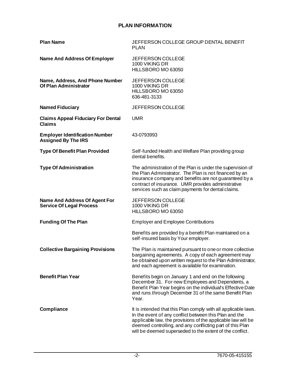# **PLAN INFORMATION**

| <b>Plan Name</b>                                                        | JEFFERSON COLLEGE GROUP DENTAL BENEFIT<br><b>PLAN</b>                                                                                                                                                                                                                                                             |
|-------------------------------------------------------------------------|-------------------------------------------------------------------------------------------------------------------------------------------------------------------------------------------------------------------------------------------------------------------------------------------------------------------|
| <b>Name And Address Of Employer</b>                                     | <b>JEFFERSON COLLEGE</b><br>1000 VIKING DR<br>HILLSBORO MO 63050                                                                                                                                                                                                                                                  |
| Name, Address, And Phone Number<br>Of Plan Administrator                | JEFFERSON COLLEGE<br>1000 VIKING DR<br>HILLSBORO MO 63050<br>636-481-3133                                                                                                                                                                                                                                         |
| <b>Named Fiduciary</b>                                                  | JEFFERSON COLLEGE                                                                                                                                                                                                                                                                                                 |
| <b>Claims Appeal Fiduciary For Dental</b><br><b>Claims</b>              | <b>UMR</b>                                                                                                                                                                                                                                                                                                        |
| <b>Employer Identification Number</b><br><b>Assigned By The IRS</b>     | 43-0793993                                                                                                                                                                                                                                                                                                        |
| <b>Type Of Benefit Plan Provided</b>                                    | Self-funded Health and Welfare Plan providing group<br>dental benefits.                                                                                                                                                                                                                                           |
| <b>Type Of Administration</b>                                           | The administration of the Plan is under the supervision of<br>the Plan Administrator. The Plan is not financed by an<br>insurance company and benefits are not guaranteed by a<br>contract of insurance. UMR provides administrative<br>services such as claim payments for dental claims.                        |
| <b>Name And Address Of Agent For</b><br><b>Service Of Legal Process</b> | <b>JEFFERSON COLLEGE</b><br>1000 VIKING DR<br>HILLSBORO MO 63050                                                                                                                                                                                                                                                  |
| <b>Funding Of The Plan</b>                                              | <b>Employer and Employee Contributions</b>                                                                                                                                                                                                                                                                        |
|                                                                         | Benefits are provided by a benefit Plan maintained on a<br>self-insured basis by Your employer.                                                                                                                                                                                                                   |
| <b>Collective Bargaining Provisions</b>                                 | The Plan is maintained pursuant to one or more collective<br>bargaining agreements. A copy of each agreement may<br>be obtained upon written request to the Plan Administrator,<br>and each agreement is available for examination.                                                                               |
| <b>Benefit Plan Year</b>                                                | Benefits begin on January 1 and end on the following<br>December 31. For new Employees and Dependents, a<br>Benef it Plan Year begins on the individual's Effective Date<br>and runs through December 31 of the same Benefit Plan<br>Year.                                                                        |
| Compliance                                                              | It is intended that this Plan comply with all applicable laws.<br>In the event of any conflict between this Plan and the<br>applicable law, the provisions of the applicable law will be<br>deemed controlling, and any conflicting part of this Plan<br>will be deemed superseded to the extent of the conflict. |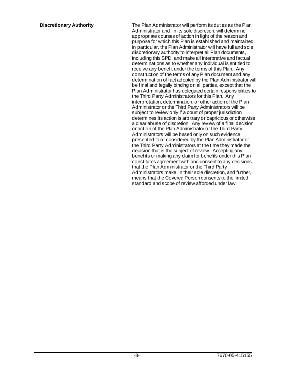**Discretionary Authority** The Plan Administrator will perform its duties as the Plan Administrator and, in its sole discretion, will determine appropriate courses of action in light of the reason and purpose for which this Plan is established and maintained. In particular, the Plan Administrator will have full and sole discretionary authority to interpret all Plan documents, including this SPD, and make all interpretive and factual determinations as to whether any individual is entitled to receive any benefit under the terms of this Plan. Any construction of the terms of any Plan document and any determination of fact adopted by the Plan Administrator will be final and legally binding on all parties, except that the Plan Administrator has delegated certain responsibilities to the Third Party Administrators for this Plan. Any interpretation, determination, or other action of the Plan Administrator or the Third Party Administrators will be subject to review only if a court of proper jurisdiction determines its action is arbitrary or capricious or otherwise a clear abuse of discretion. Any review of a final decision or action of the Plan Administrator or the Third Party Administrators will be based only on such evidence presented to or considered by the Plan Administrator or the Third Party Administrators at the time they made the decision that is the subject of review. Accepting any benefits or making any claim for benefits under this Plan constitutes agreement with and consent to any decisions that the Plan Administrator or the Third Party Administrators make, in their sole discretion, and further, means that the Covered Person consents to the limited standard and scope of review afforded under law.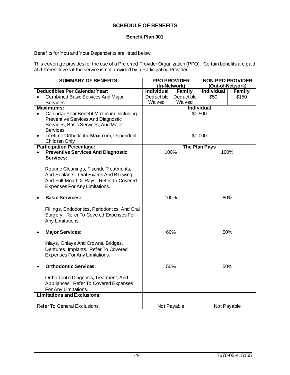# **SCHEDULE OF BENEFITS**

# **Benefit Plan 001**

Benefits for You and Your Dependents are listed below.

This coverage provides for the use of a Preferred Provider Organization (PPO). Certain benefits are paid at different levels if the service is not provided by a Participating Provider.

| <b>SUMMARY OF BENEFITS</b>                            | <b>PPO PROVIDER</b> |                                  | <b>NON-PPO PROVIDER</b> |             |  |
|-------------------------------------------------------|---------------------|----------------------------------|-------------------------|-------------|--|
|                                                       |                     | (Out-of-Network)<br>(In-Network) |                         |             |  |
| <b>Deductibles Per Calendar Year:</b>                 | <b>Individual</b>   | Family                           | <b>Individual</b>       | Family      |  |
| <b>Combined Basic Services And Major</b><br>$\bullet$ | Deductible          | Deductible                       | \$50                    | \$150       |  |
| <b>Services</b>                                       | Waived              | Waived                           |                         |             |  |
| <b>Maximums:</b>                                      |                     |                                  | <b>Individual</b>       |             |  |
| Calendar Year Benefit Maximum, Including<br>$\bullet$ |                     | \$1,500                          |                         |             |  |
| Preventive Services And Diagnostic                    |                     |                                  |                         |             |  |
| Services, Basic Services, And Major                   |                     |                                  |                         |             |  |
| Services                                              |                     |                                  |                         |             |  |
| Lifetime Orthodontic Maximum, Dependent<br>$\bullet$  |                     | \$1,000                          |                         |             |  |
| Children Only                                         |                     |                                  |                         |             |  |
| <b>Participation Percentage:</b>                      |                     | <b>The Plan Pays</b>             |                         |             |  |
| <b>Preventive Services And Diagnostic</b>             |                     | 100%                             |                         | 100%        |  |
| Services:                                             |                     |                                  |                         |             |  |
|                                                       |                     |                                  |                         |             |  |
| Routine Cleanings, Fluoride Treatments,               |                     |                                  |                         |             |  |
| And Sealants. Oral Exams And Bitewing                 |                     |                                  |                         |             |  |
| And Full-Mouth X-Rays. Refer To Covered               |                     |                                  |                         |             |  |
| Expenses For Any Limitations.                         |                     |                                  |                         |             |  |
| <b>Basic Services:</b>                                | 100%<br>80%         |                                  |                         |             |  |
|                                                       |                     |                                  |                         |             |  |
| Fillings, Endodontics, Periodontics, And Oral         |                     |                                  |                         |             |  |
| Surgery. Refer To Covered Expenses For                |                     |                                  |                         |             |  |
| Any Limitations.                                      |                     |                                  |                         |             |  |
|                                                       |                     |                                  |                         |             |  |
| <b>Major Services:</b><br>$\bullet$                   |                     | 60%                              |                         | 50%         |  |
|                                                       |                     |                                  |                         |             |  |
| Inlays, Onlays And Crowns, Bridges,                   |                     |                                  |                         |             |  |
| Dentures, Implants. Refer To Covered                  |                     |                                  |                         |             |  |
| Expenses For Any Limitations.                         |                     |                                  |                         |             |  |
| <b>Orthodontic Services:</b>                          |                     | 50%                              |                         | 50%         |  |
|                                                       |                     |                                  |                         |             |  |
| Orthodontic Diagnosis, Treatment, And                 |                     |                                  |                         |             |  |
| Appliances. Refer To Covered Expenses                 |                     |                                  |                         |             |  |
| For Any Limitations.                                  |                     |                                  |                         |             |  |
| <b>Limitations and Exclusions:</b>                    |                     |                                  |                         |             |  |
|                                                       |                     |                                  |                         |             |  |
| Refer To General Exclusions.                          |                     | Not Payable                      |                         | Not Payable |  |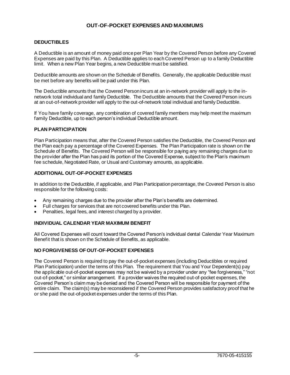# **OUT-OF-POCKET EXPENSES AND MAXIMUMS**

# **DEDUCTIBLES**

A Deductible is an amount of money paid once per Plan Year by the Covered Person before any Covered Expenses are paid by this Plan. A Deductible applies to each Covered Person up to a family Deductible limit. When a new Plan Year begins, a new Deductible must be satisfied.

Deductible amounts are shown on the Schedule of Benefits. Generally, the applicable Deductible must be met before any benefits will be paid under this Plan.

The Deductible amounts that the Covered Person incurs at an in-network provider will apply to the innetwork total individual and family Deductible. The Deductible amounts that the Covered Person incurs at an out-of-network provider will apply to the out-of-network total individual and family Deductible.

If You have family coverage, any combination of covered family members may help meet the maximum family Deductible, up to each person's individual Deductible amount.

### **PLAN PARTICIPATION**

Plan Participation means that, after the Covered Person satisfies the Deductible, the Covered Person and the Plan each pay a percentage of the Covered Expenses. The Plan Participation rate is shown on the Schedule of Benefits. The Covered Person will be responsible for paying any remaining charges due to the provider after the Plan has paid its portion of the Covered Expense, subject to the Plan's maximum fee schedule, Negotiated Rate, or Usual and Customary amounts, as applicable.

# **ADDITIONAL OUT-OF-POCKET EXPENSES**

In addition to the Deductible, if applicable, and Plan Participation percentage, the Covered Person is also responsible for the following costs:

- Any remaining charges due to the provider after the Plan's benefits are determined.
- Full charges for services that are not covered benefits under this Plan.
- Penalties, legal fees, and interest charged by a provider.

### **INDIVIDUAL CALENDAR YEAR MAXIMUM BENEFIT**

All Covered Expenses will count toward the Covered Person's individual dental Calendar Year Maximum Benefit that is shown on the Schedule of Benefits, as applicable.

# **NO FORGIVENESS OF OUT-OF-POCKET EXPENSES**

The Covered Person is required to pay the out-of-pocket expenses (including Deductibles or required Plan Participation) under the terms of this Plan. The requirement that You and Your Dependent(s) pay the applicable out-of-pocket expenses may not be waived by a provider under any "fee forgiveness," "not out-of-pocket," or similar arrangement. If a provider waives the required out-of-pocket expenses, the Covered Person's claim may be denied and the Covered Person will be responsible for payment of the entire claim. The claim(s) may be reconsidered if the Covered Person provides satisfactory proof that he or she paid the out-of-pocket expenses under the terms of this Plan.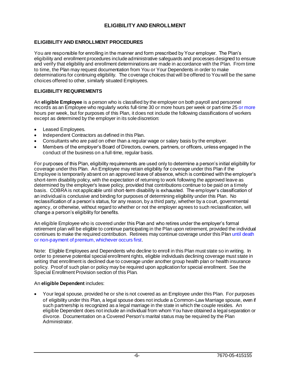# **ELIGIBILITY AND ENROLLMENT**

# **ELIGIBILITY AND ENROLLMENT PROCEDURES**

You are responsible for enrolling in the manner and form prescribed by Your employer. The Plan's eligibility and enrollment procedures include administrative safeguards and processes designed to ensure and verify that eligibility and enrollment determinations are made in accordance with the Plan. From time to time, the Plan may request documentation from You or Your Dependents in order to make determinations for continuing eligibility. The coverage choices that will be offered to You will be the same choices offered to other, similarly situated Employees.

# **ELIGIBILITY REQUIREMENTS**

An **eligible Employee** is a person who is classified by the employer on both payroll and personnel records as an Employee who regularly works full-time 30 or more hours per week or part-time 25 or more hours per week, but for purposes of this Plan, it does not include the following classifications of workers except as determined by the employer in its sole discretion:

- Leased Employees.
- Independent Contractors as defined in this Plan.
- Consultants who are paid on other than a regular wage or salary basis by the employer.
- Members of the employer's Board of Directors, owners, partners, or officers, unless engaged in the conduct of the business on a full-time, regular basis.

For purposes of this Plan, eligibility requirements are used only to determine a person's initial eligibility for coverage under this Plan. An Employee may retain eligibility for coverage under this Plan if the Employee is temporarily absent on an approved leave of absence, which is combined with the employer's short-term disability policy, with the expectation of returning to work following the approved leave as determined by the employer's leave policy, provided that contributions continue to be paid on a timely basis. COBRA is not applicable until short-term disability is exhausted. The employer's classification of an individual is conclusive and binding for purposes of determining eligibility under this Plan. No reclassification of a person's status, for any reason, by a third party, whether by a court, governmental agency, or otherwise, without regard to whether or not the employer agrees to such reclassification, will change a person's eligibility for benefits.

An eligible Employee who is covered under this Plan and who retires under the employer's formal retirement plan will be eligible to continue participating in the Plan upon retirement, provided the individual continues to make the required contribution. Retirees may continue coverage under this Plan until death or non-payment of premium, whichever occurs first.

Note: Eligible Employees and Dependents who decline to enroll in this Plan must state so in writing. In order to preserve potential special enrollment rights, eligible individuals declining coverage must state in writing that enrollment is declined due to coverage under another group health plan or health insurance policy. Proof of such plan or policy may be required upon application for special enrollment. See the Special Enrollment Provision section of this Plan.

### An **eligible Dependent** includes:

• Your legal spouse, provided he or she is not covered as an Employee under this Plan. For purposes of eligibility under this Plan, a legal spouse does not include a Common-Law Marriage spouse, even if such partnership is recognized as a legal marriage in the state in which the couple resides. An eligible Dependent does not include an individual from whom You have obtained a legal separation or divorce. Documentation on a Covered Person's marital status may be required by the Plan Administrator.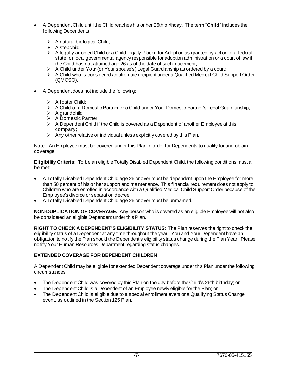- A Dependent Child until the Child reaches his or her 26th birthday. The term "**Child**" includes the following Dependents:
	- $\triangleright$  A natural biological Child;
	- $\triangleright$  A stepchild:
	- $\triangleright$  A legally adopted Child or a Child legally Placed for Adoption as granted by action of a federal, state, or local governmental agency responsible for adoption administration or a court of law if the Child has not attained age 26 as of the date of such placement;
	- $\triangleright$  A Child under Your (or Your spouse's) Legal Guardianship as ordered by a court;
	- $\triangleright$  A Child who is considered an alternate recipient under a Qualified Medical Child Support Order (QMCSO).
- A Dependent does not include the following:
	- $\triangleright$  A foster Child;
	- $\triangleright$  A Child of a Domestic Partner or a Child under Your Domestic Partner's Legal Guardianship;
	- $\triangleright$  A grandchild;
	- ➢ A Domestic Partner;
	- $\triangleright$  A Dependent Child if the Child is covered as a Dependent of another Employee at this company;
	- $\triangleright$  Any other relative or individual unless explicitly covered by this Plan.

Note: An Employee must be covered under this Plan in order for Dependents to qualify for and obtain coverage.

**Eligibility Criteria:** To be an eligible Totally Disabled Dependent Child, the following conditions must all be met:

- A Totally Disabled Dependent Child age 26 or over must be dependent upon the Employee for more than 50 percent of his or her support and maintenance. This financial requirement does not apply to Children who are enrolled in accordance with a Qualified Medical Child Support Order because of the Employee's divorce or separation decree.
- A Totally Disabled Dependent Child age 26 or over must be unmarried.

**NON-DUPLICATION OF COVERAGE:** Any person who is covered as an eligible Employee will not also be considered an eligible Dependent under this Plan.

**RIGHT TO CHECK A DEPENDENT'S ELIGIBILITY STATUS:** The Plan reserves the right to check the eligibility status of a Dependent at any time throughout the year. You and Your Dependent have an obligation to notify the Plan should the Dependent's eligibility status change during the Plan Year. Please notify Your Human Resources Department regarding status changes.

# **EXTENDED COVERAGE FOR DEPENDENT CHILDREN**

A Dependent Child may be eligible for extended Dependent coverage under this Plan under the following circumstances:

- The Dependent Child was covered by this Plan on the day before the Child's 26th birthday; or
- The Dependent Child is a Dependent of an Employee newly eligible for the Plan; or
- The Dependent Child is eligible due to a special enrollment event or a Qualifying Status Change event, as outlined in the Section 125 Plan.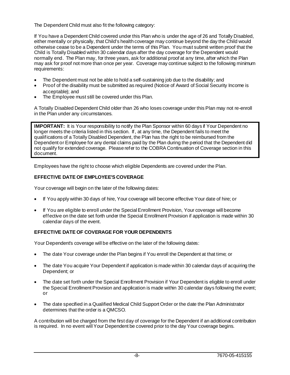The Dependent Child must also fit the following category:

If You have a Dependent Child covered under this Plan who is under the age of 26 and Totally Disabled, either mentally or physically, that Child's health coverage may continue beyond the day the Child would otherwise cease to be a Dependent under the terms of this Plan. You must submit written proof that the Child is Totally Disabled within 30 calendar days after the day coverage for the Dependent would normally end. The Plan may, for three years, ask for additional proof at any time, after which the Plan may ask for proof not more than once per year. Coverage may continue subject to the following minimum requirements:

- The Dependent must not be able to hold a self-sustaining job due to the disability; and
- Proof of the disability must be submitted as required (Notice of Award of Social Security Income is acceptable); and
- The Employee must still be covered under this Plan.

A Totally Disabled Dependent Child older than 26 who loses coverage under this Plan may not re-enroll in the Plan under any circumstances.

**IMPORTANT:** It is Your responsibility to notify the Plan Sponsor within 60 days if Your Dependent no longer meets the criteria listed in this section. If, at any time, the Dependent fails to meet the qualifications of a Totally Disabled Dependent, the Plan has the right to be reimbursed from the Dependent or Employee for any dental claims paid by the Plan during the period that the Dependent did not qualify for extended coverage. Please refer to the COBRA Continuation of Coverage section in this document.

Employees have the right to choose which eligible Dependents are covered under the Plan.

# **EFFECTIVE DATE OF EMPLOYEE'S COVERAGE**

Your coverage will begin on the later of the following dates:

- If You apply within 30 days of hire, Your coverage will become effective Your date of hire; or
- If You are eligible to enroll under the Special Enrollment Provision, Your coverage will become effective on the date set forth under the Special Enrollment Provision if application is made within 30 calendar days of the event.

# **EFFECTIVE DATE OF COVERAGE FOR YOUR DEPENDENTS**

Your Dependent's coverage will be effective on the later of the following dates:

- The date Your coverage under the Plan begins if You enroll the Dependent at that time; or
- The date You acquire Your Dependent if application is made within 30 calendar days of acquiring the Dependent; or
- The date set forth under the Special Enrollment Provision if Your Dependent is eligible to enroll under the Special Enrollment Provision and application is made within 30 calendar days following the event; or
- The date specified in a Qualified Medical Child Support Order or the date the Plan Administrator determines that the order is a QMCSO.

A contribution will be charged from the first day of coverage for the Dependent if an additional contribution is required. In no event will Your Dependent be covered prior to the day Your coverage begins.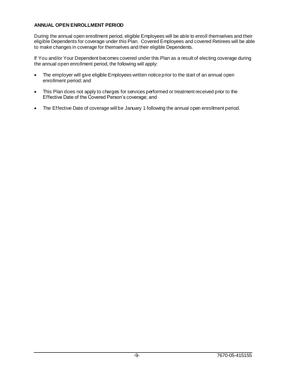# **ANNUAL OPEN ENROLLMENT PERIOD**

During the annual open enrollment period, eligible Employees will be able to enroll themselves and their eligible Dependents for coverage under this Plan. Covered Employees and covered Retirees will be able to make changes in coverage for themselves and their eligible Dependents.

If You and/or Your Dependent becomes covered under this Plan as a result of electing coverage during the annual open enrollment period, the following will apply:

- The employer will give eligible Employees written notice prior to the start of an annual open enrollment period; and
- This Plan does not apply to charges for services performed or treatment received prior to the Effective Date of the Covered Person's coverage; and
- The Effective Date of coverage will be January 1 following the annual open enrollment period.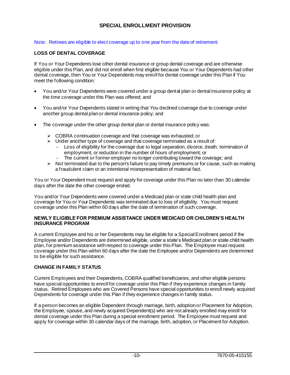# **SPECIAL ENROLLMENT PROVISION**

## Note: Retirees are eligible to elect coverage up to one year from the date of retirement.

# **LOSS OF DENTAL COVERAGE**

If You or Your Dependents lose other dental insurance or group dental coverage and are otherwise eligible under this Plan, and did not enroll when first eligible because You or Your Dependents had other dental coverage, then You or Your Dependents may enroll for dental coverage under this Plan if You meet the following condition:

- You and/or Your Dependents were covered under a group dental plan or dental insurance policy at the time coverage under this Plan was offered; and
- You and/or Your Dependents stated in writing that You declined coverage due to coverage under another group dental plan or dental insurance policy; and
- The coverage under the other group dental plan or dental insurance policy was:
	- $\triangleright$  COBRA continuation coverage and that coverage was exhausted; or
	- $\triangleright$  Under another type of coverage and that coverage terminated as a result of:
		- − Loss of eligibility for the coverage due to legal separation, divorce, death, termination of employment, or reduction in the number of hours of employment; or
			- The current or former employer no longer contributing toward the coverage; and
	- $\triangleright$  Not terminated due to the person's failure to pay timely premiums or for cause, such as making a fraudulent claim or an intentional misrepresentation of material fact.

You or Your Dependent must request and apply for coverage under this Plan no later than 30 calendar days after the date the other coverage ended.

You and/or Your Dependents were covered under a Medicaid plan or state child health plan and coverage for You or Your Dependents was terminated due to loss of eligibility. You must request coverage under this Plan within 60 days after the date of termination of such coverage.

#### **NEWLY ELIGIBLE FOR PREMIUM ASSISTANCE UNDER MEDICAID OR CHILDREN'S HEALTH INSURANCE PROGRAM**

A current Employee and his or her Dependents may be eligible for a Special Enrollment period if the Employee and/or Dependents are determined eligible, under a state's Medicaid plan or state child health plan, for premium assistance with respect to coverage under this Plan. The Employee must request coverage under this Plan within 60 days after the date the Employee and/or Dependents are determined to be eligible for such assistance.

# **CHANGE IN FAMILY STATUS**

Current Employees and their Dependents, COBRA qualified beneficiaries, and other eligible persons have special opportunities to enroll for coverage under this Plan if they experience changes in family status. Retired Employees who are Covered Persons have special opportunities to enroll newly acquired Dependents for coverage under this Plan if they experience changes in family status.

If a person becomes an eligible Dependent through marriage, birth, adoption or Placement for Adoption, the Employee, spouse, and newly acquired Dependent(s) who are not already enrolled may enroll for dental coverage under this Plan during a special enrollment period. The Employee must request and apply for coverage within 30 calendar days of the marriage, birth, adoption, or Placement for Adoption.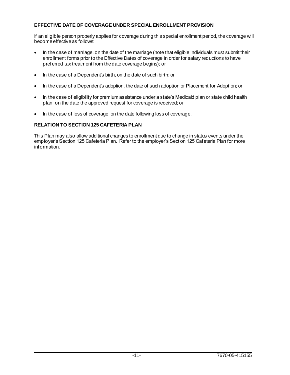# **EFFECTIVE DATE OF COVERAGE UNDER SPECIAL ENROLLMENT PROVISION**

If an eligible person properly applies for coverage during this special enrollment period, the coverage will become effective as follows:

- In the case of marriage, on the date of the marriage (note that eligible individuals must submit their enrollment forms prior to the Effective Dates of coverage in order for salary reductions to have preferred tax treatment from the date coverage begins); or
- In the case of a Dependent's birth, on the date of such birth; or
- In the case of a Dependent's adoption, the date of such adoption or Placement for Adoption; or
- In the case of eligibility for premium assistance under a state's Medicaid plan or state child health plan, on the date the approved request for coverage is received; or
- In the case of loss of coverage, on the date following loss of coverage.

# **RELATION TO SECTION 125 CAFETERIA PLAN**

This Plan may also allow additional changes to enrollment due to change in status events under the employer's Section 125 Cafeteria Plan. Refer to the employer's Section 125 Cafeteria Plan for more information.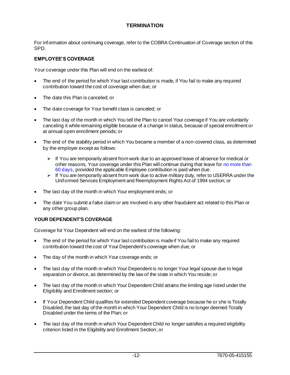# **TERMINATION**

For information about continuing coverage, refer to the COBRA Continuation of Coverage section of this SPD.

# **EMPLOYEE'S COVERAGE**

Your coverage under this Plan will end on the earliest of:

- The end of the period for which Your last contribution is made, if You fail to make any required contribution toward the cost of coverage when due; or
- The date this Plan is canceled; or
- The date coverage for Your benefit class is canceled; or
- The last day of the month in which You tell the Plan to cancel Your coverage if You are voluntarily canceling it while remaining eligible because of a change in status, because of special enrollment or at annual open enrollment periods; or
- The end of the stability period in which You became a member of a non-covered class, as determined by the employer except as follows:
	- $\triangleright$  If You are temporarily absent from work due to an approved leave of absence for medical or other reasons, Your coverage under this Plan will continue during that leave for no more than 60 days, provided the applicable Employee contribution is paid when due.
	- $\triangleright$  If You are temporarily absent from work due to active military duty, refer to USERRA under the Uniformed Services Employment and Reemployment Rights Act of 1994 section; or
- The last day of the month in which Your employment ends; or
- The date You submit a false claim or are involved in any other fraudulent act related to this Plan or any other group plan.

# **YOUR DEPENDENT'S COVERAGE**

Coverage for Your Dependent will end on the earliest of the following:

- The end of the period for which Your last contribution is made if You fail to make any required contribution toward the cost of Your Dependent's coverage when due; or
- The day of the month in which Your coverage ends; or
- The last day of the month in which Your Dependent is no longer Your legal spouse due to legal separation or divorce, as determined by the law of the state in which You reside; or
- The last day of the month in which Your Dependent Child attains the limiting age listed under the Eligibility and Enrollment section; or
- If Your Dependent Child qualifies for extended Dependent coverage because he or she is Totally Disabled, the last day of the month in which Your Dependent Child is no longer deemed Totally Disabled under the terms of the Plan; or
- The last day of the month in which Your Dependent Child no longer satisfies a required eligibility criterion listed in the Eligibility and Enrollment Section; or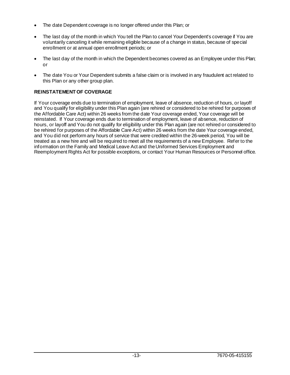- The date Dependent coverage is no longer offered under this Plan; or
- The last day of the month in which You tell the Plan to cancel Your Dependent's coverage if You are voluntarily canceling it while remaining eligible because of a change in status, because of special enrollment or at annual open enrollment periods; or
- The last day of the month in which the Dependent becomes covered as an Employee under this Plan; or
- The date You or Your Dependent submits a false claim or is involved in any fraudulent act related to this Plan or any other group plan.

# **REINSTATEMENT OF COVERAGE**

If Your coverage ends due to termination of employment, leave of absence, reduction of hours, or layoff and You qualify for eligibility under this Plan again (are rehired or considered to be rehired for purposes of the Affordable Care Act) within 26 weeks from the date Your coverage ended, Your coverage will be reinstated. If Your coverage ends due to termination of employment, leave of absence, reduction of hours, or layoff and You do not qualify for eligibility under this Plan again (are not rehired or considered to be rehired for purposes of the Affordable Care Act) within 26 weeks from the date Your coverage ended, and You did not perform any hours of service that were credited within the 26-week period, You will be treated as a new hire and will be required to meet all the requirements of a new Employee. Refer to the information on the Family and Medical Leave Act and the Uniformed Services Employment and Reemployment Rights Act for possible exceptions, or contact Your Human Resources or Personnel office.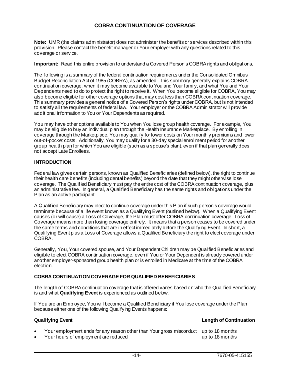# **COBRA CONTINUATION OF COVERAGE**

**Note:** UMR (the claims administrator) does not administer the benefits or services described within this provision. Please contact the benefit manager or Your employer with any questions related to this coverage or service.

**Important:** Read this entire provision to understand a Covered Person's COBRA rights and obligations.

The following is a summary of the federal continuation requirements under the Consolidated Omnibus Budget Reconciliation Act of 1985 (COBRA), as amended. This summary generally explains COBRA continuation coverage, when it may become available to You and Your family, and what You and Your Dependents need to do to protect the right to receive it. When You become eligible for COBRA, You may also become eligible for other coverage options that may cost less than COBRA continuation coverage. This summary provides a general notice of a Covered Person's rights under COBRA, but is not intended to satisfy all the requirements of federal law. Your employer or the COBRA Administrator will provide additional information to You or Your Dependents as required.

You may have other options available to You when You lose group health coverage. For example, You may be eligible to buy an individual plan through the Health Insurance Marketplace. By enrolling in coverage through the Marketplace, You may qualify for lower costs on Your monthly premiums and lower out-of-pocket costs. Additionally, You may qualify for a 30-day special enrollment period for another group health plan for which You are eligible (such as a spouse's plan), even if that plan generally does not accept Late Enrollees.

### **INTRODUCTION**

Federal law gives certain persons, known as Qualified Beneficiaries (defined below), the right to continue their health care benefits (including dental benefits) beyond the date that they might otherwise lose coverage. The Qualified Beneficiary must pay the entire cost of the COBRA continuation coverage, plus an administrative fee. In general, a Qualified Beneficiary has the same rights and obligations under the Plan as an active participant.

A Qualified Beneficiary may elect to continue coverage under this Plan if such person's coverage would terminate because of a life event known as a Qualifying Event (outlined below). When a Qualifying Event causes (or will cause) a Loss of Coverage, the Plan must offer COBRA continuation coverage. Loss of Coverage means more than losing coverage entirely. It means that a person ceases to be covered under the same terms and conditions that are in effect immediately before the Qualifying Event. In short, a Qualifying Event plus a Loss of Coverage allows a Qualified Beneficiary the right to elect coverage under COBRA.

Generally, You, Your covered spouse, and Your Dependent Children may be Qualified Beneficiaries and eligible to elect COBRA continuation coverage, even if You or Your Dependent is already covered under another employer-sponsored group health plan or is enrolled in Medicare at the time of the COBRA election.

#### **COBRA CONTINUATION COVERAGE FOR QUALIFIED BENEFICIARIES**

The length of COBRA continuation coverage that is offered varies based on who the Qualified Beneficiary is and what **Qualifying Event** is experienced as outlined below.

If You are an Employee, You will become a Qualified Beneficiary if You lose coverage under the Plan because either one of the following Qualifying Events happens:

# **Qualifying Event Length of Continuation**

- Your employment ends for any reason other than Your gross misconduct up to 18 months
- Your hours of employment are reduced up to 18 months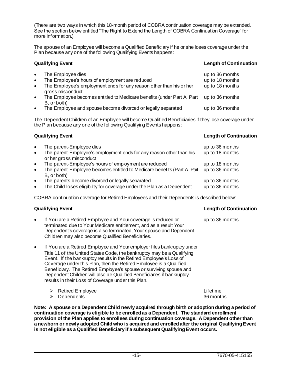(There are two ways in which this 18-month period of COBRA continuation coverage may be extended. See the section below entitled "The Right to Extend the Length of COBRA Continuation Coverage" for more information.)

The spouse of an Employee will become a Qualified Beneficiary if he or she loses coverage under the Plan because any one of the following Qualifying Events happens:

### **Qualifying Event Length of Continuation**

| $\bullet$ | The Employee dies                                                      | up to 36 months |
|-----------|------------------------------------------------------------------------|-----------------|
| $\bullet$ | The Employee's hours of employment are reduced                         | up to 18 months |
| $\bullet$ | The Employee's employment ends for any reason other than his or her    | up to 18 months |
|           | gross misconduct                                                       |                 |
| $\bullet$ | The Employee becomes entitled to Medicare benefits (under Part A, Part | up to 36 months |
|           | B, or both)                                                            |                 |
| $\bullet$ | The Employee and spouse become divorced or legally separated           | up to 36 months |

The Dependent Children of an Employee will become Qualified Beneficiaries if they lose coverage under the Plan because any one of the following Qualifying Events happens:

# **Qualifying Event Length of Continuation**

up to 36 months

- The parent-Employee dies and the parent-Employee dies up to 36 months The parent-Employee's employment ends for any reason other than his or her gross misconduct up to 18 months The parent-Employee's hours of employment are reduced up to 18 months • The parent-Employee becomes entitled to Medicare benefits (Part A, Part up to 36 months B, or both)
- The parents become divorced or legally separated up to 36 months
- The Child loses eligibility for coverage under the Plan as a Dependent up to 36 months

COBRA continuation coverage for Retired Employees and their Dependents is described below:

# **Qualifying Event Length of Continuation**

- If You are a Retired Employee and Your coverage is reduced or terminated due to Your Medicare entitlement, and as a result Your Dependent's coverage is also terminated, Your spouse and Dependent Children may also become Qualified Beneficiaries.
- If You are a Retired Employee and Your employer files bankruptcy under Title 11 of the United States Code, the bankruptcy may be a Qualifying Event. If the bankruptcy results in the Retired Employee's Loss of Coverage under this Plan, then the Retired Employee is a Qualified Beneficiary. The Retired Employee's spouse or surviving spouse and Dependent Children will also be Qualified Beneficiaries if bankruptcy results in their Loss of Coverage under this Plan.
	- ➢ Retired Employee Lifetime ➢ Dependents 36 months

**Note: A spouse or a Dependent Child newly acquired through birth or adoption during a period of continuation coverage is eligible to be enrolled as a Dependent. The standard enrollment provision of the Plan applies to enrollees during continuation coverage. A Dependent other than a newborn or newly adopted Child who is acquired and enrolled after the original Qualifying Event is not eligible as a Qualified Beneficiary if a subsequent Qualifying Event occurs.**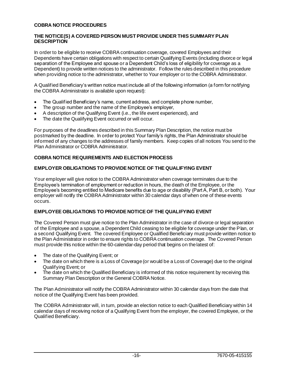# **COBRA NOTICE PROCEDURES**

# **THE NOTICE(S) A COVERED PERSON MUST PROVIDE UNDER THIS SUMMARY PLAN DESCRIPTION**

In order to be eligible to receive COBRA continuation coverage, covered Employees and their Dependents have certain obligations with respect to certain Qualifying Events (including divorce or legal separation of the Employee and spouse or a Dependent Child's loss of eligibility for coverage as a Dependent) to provide written notices to the administrator. Follow the rules described in this procedure when providing notice to the administrator, whether to Your employer or to the COBRA Administrator.

A Qualified Beneficiary's written notice must include all of the following information (a form for notifying the COBRA Administrator is available upon request):

- The Qualified Beneficiary's name, current address, and complete phone number,
- The group number and the name of the Employee's employer,
- A description of the Qualifying Event (i.e., the life event experienced), and
- The date the Qualifying Event occurred or will occur.

For purposes of the deadlines described in this Summary Plan Description, the notice must be postmarked by the deadline. In order to protect Your family's rights, the Plan Administrator should be informed of any changes to the addresses of family members. Keep copies of all notices You send to the Plan Administrator or COBRA Administrator.

# **COBRA NOTICE REQUIREMENTS AND ELECTION PROCESS**

# **EMPLOYER OBLIGATIONS TO PROVIDE NOTICE OF THE QUALIFYING EVENT**

Your employer will give notice to the COBRA Administrator when coverage terminates due to the Employee's termination of employment or reduction in hours, the death of the Employee, or the Employee's becoming entitled to Medicare benefits due to age or disability (Part A, Part B, or both). Your employer will notify the COBRA Administrator within 30 calendar days of when one of these events occurs.

### **EMPLOYEE OBLIGATIONS TO PROVIDE NOTICE OF THE QUALIFYING EVENT**

The Covered Person must give notice to the Plan Administrator in the case of divorce or legal separation of the Employee and a spouse, a Dependent Child ceasing to be eligible for coverage under the Plan, or a second Qualifying Event. The covered Employee or Qualified Beneficiary must provide written notice to the Plan Administrator in order to ensure rights to COBRA continuation coverage. The Covered Person must provide this notice within the 60-calendar-day period that begins on the latest of:

- The date of the Qualifying Event; or
- The date on which there is a Loss of Coverage (or would be a Loss of Coverage) due to the original Qualifying Event; or
- The date on which the Qualified Beneficiary is informed of this notice requirement by receiving this Summary Plan Description or the General COBRA Notice.

The Plan Administrator will notify the COBRA Administrator within 30 calendar days from the date that notice of the Qualifying Event has been provided.

The COBRA Administrator will, in turn, provide an election notice to each Qualified Beneficiary within 14 calendar days of receiving notice of a Qualifying Event from the employer, the covered Employee, or the Qualified Beneficiary.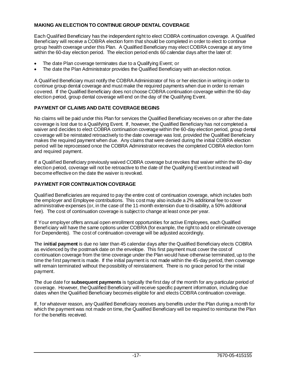# **MAKING AN ELECTION TO CONTINUE GROUP DENTAL COVERAGE**

Each Qualified Beneficiary has the independent right to elect COBRA continuation coverage. A Qualified Beneficiary will receive a COBRA election form that should be completed in order to elect to continue group health coverage under this Plan. A Qualified Beneficiary may elect COBRA coverage at any time within the 60-day election period. The election period ends 60 calendar days after the later of:

- The date Plan coverage terminates due to a Qualifying Event; or
- The date the Plan Administrator provides the Qualified Beneficiary with an election notice.

A Qualified Beneficiary must notify the COBRA Administrator of his or her election in writing in order to continue group dental coverage and must make the required payments when due in order to remain covered. If the Qualified Beneficiary does not choose COBRA continuation coverage within the 60-day election period, group dental coverage will end on the day of the Qualifying Event.

# **PAYMENT OF CLAIMS AND DATE COVERAGE BEGINS**

No claims will be paid under this Plan for services the Qualified Beneficiary receives on or after the date coverage is lost due to a Qualifying Event. If, however, the Qualified Beneficiary has not completed a waiver and decides to elect COBRA continuation coverage within the 60-day election period, group dental coverage will be reinstated retroactively to the date coverage was lost, provided the Qualified Beneficiary makes the required payment when due. Any claims that were denied during the initial COBRA election period will be reprocessed once the COBRA Administrator receives the completed COBRA election form and required payment.

If a Qualified Beneficiary previously waived COBRA coverage but revokes that waiver within the 60-day election period, coverage will not be retroactive to the date of the Qualifying Event but instead will become effective on the date the waiver is revoked.

# **PAYMENT FOR CONTINUATION COVERAGE**

Qualified Beneficiaries are required to pay the entire cost of continuation coverage, which includes both the employer and Employee contributions. This cost may also include a 2% additional fee to cover administrative expenses (or, in the case of the 11-month extension due to disability, a 50% additional fee). The cost of continuation coverage is subject to change at least once per year.

If Your employer offers annual open enrollment opportunities for active Employees, each Qualified Beneficiary will have the same options under COBRA (for example, the right to add or eliminate coverage for Dependents). The cost of continuation coverage will be adjusted accordingly.

The **initial payment** is due no later than 45 calendar days after the Qualified Beneficiary elects COBRA as evidenced by the postmark date on the envelope. This first payment must cover the cost of continuation coverage from the time coverage under the Plan would have otherwise terminated, up to the time the first payment is made. If the initial payment is not made within the 45-day period, then coverage will remain terminated without the possibility of reinstatement. There is no grace period for the initial payment.

The due date for **subsequent payments** is typically the first day of the month for any particular period of coverage. However, the Qualified Beneficiary will receive specific payment information, including due dates when the Qualified Beneficiary becomes eligible for and elects COBRA continuation coverage.

If, for whatever reason, any Qualified Beneficiary receives any benefits under the Plan during a month for which the payment was not made on time, the Qualified Beneficiary will be required to reimburse the Plan for the benefits received.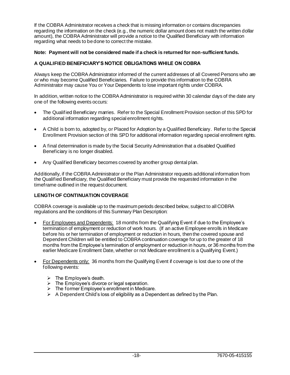If the COBRA Administrator receives a check that is missing information or contains discrepancies regarding the information on the check (e.g., the numeric dollar amount does not match the written dollar amount), the COBRA Administrator will provide a notice to the Qualified Beneficiary with information regarding what needs to be done to correct the mistake.

# **Note: Payment will not be considered made if a check is returned for non-sufficient funds.**

# **A QUALIFIED BENEFICIARY'S NOTICE OBLIGATIONS WHILE ON COBRA**

Always keep the COBRA Administrator informed of the current addresses of all Covered Persons who are or who may become Qualified Beneficiaries. Failure to provide this information to the COBRA Administrator may cause You or Your Dependents to lose important rights under COBRA.

In addition, written notice to the COBRA Administrator is required within 30 calendar days of the date any one of the following events occurs:

- The Qualified Beneficiary marries. Refer to the Special Enrollment Provision section of this SPD for additional information regarding special enrollment rights.
- A Child is born to, adopted by, or Placed for Adoption by a Qualified Beneficiary. Refer to the Special Enrollment Provision section of this SPD for additional information regarding special enrollment rights.
- A final determination is made by the Social Security Administration that a disabled Qualified Beneficiary is no longer disabled.
- Any Qualified Beneficiary becomes covered by another group dental plan.

Additionally, if the COBRA Administrator or the Plan Administrator requests additional information from the Qualified Beneficiary, the Qualified Beneficiary must provide the requested information in the timeframe outlined in the request document.

### **LENGTH OF CONTINUATION COVERAGE**

COBRA coverage is available up to the maximum periods described below, subject to all COBRA regulations and the conditions of this Summary Plan Description:

- For Employees and Dependents: 18 months from the Qualifying Event if due to the Employee's termination of employment or reduction of work hours. (If an active Employee enrolls in Medicare before his or her termination of employment or reduction in hours, then the covered spouse and Dependent Children will be entitled to COBRA continuation coverage for up to the greater of 18 months from the Employee's termination of employment or reduction in hours, or 36 months from the earlier Medicare Enrollment Date, whether or not Medicare enrollment is a Qualifying Event.)
- For Dependents only: 36 months from the Qualifying Event if coverage is lost due to one of the following events:
	- $\triangleright$  The Employee's death.
	- ➢ The Employee's divorce or legal separation.
	- ➢ The former Employee's enrollment in Medicare.
	- $\triangleright$  A Dependent Child's loss of eligibility as a Dependent as defined by the Plan.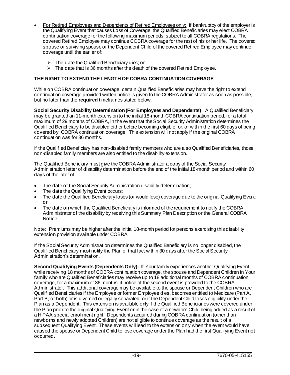- For Retired Employees and Dependents of Retired Employees only: If bankruptcy of the employer is the Qualifying Event that causes Loss of Coverage, the Qualified Beneficiaries may elect COBRA continuation coverage for the following maximum periods, subject to all COBRA regulations. The covered Retired Employee may continue COBRA coverage for the rest of his or her life. The covered spouse or surviving spouse or the Dependent Child of the covered Retired Employee may continue coverage until the earlier of:
	- $\triangleright$  The date the Qualified Beneficiary dies; or
	- ➢ The date that is 36 months after the death of the covered Retired Employee.

# **THE RIGHT TO EXTEND THE LENGTH OF COBRA CONTINUATION COVERAGE**

While on COBRA continuation coverage, certain Qualified Beneficiaries may have the right to extend continuation coverage provided written notice is given to the COBRA Administrator as soon as possible, but no later than the **required** timeframes stated below.

**Social Security Disability Determination (For Employees and Dependents)**: A Qualified Beneficiary may be granted an 11-month extension to the initial 18-month COBRA continuation period, for a total maximum of 29 months of COBRA, in the event that the Social Security Administration determines the Qualified Beneficiary to be disabled either before becoming eligible for, or within the first 60 days of being covered by, COBRA continuation coverage. This extension will not apply if the original COBRA continuation was for 36 months.

If the Qualified Beneficiary has non-disabled family members who are also Qualified Beneficiaries, those non-disabled family members are also entitled to the disability extension.

The Qualified Beneficiary must give the COBRA Administrator a copy of the Social Security Administration letter of disability determination before the end of the initial 18-month period and within 60 days of the later of:

- The date of the Social Security Administration disability determination;
- The date the Qualifying Event occurs:
- The date the Qualified Beneficiary loses (or would lose) coverage due to the original Qualifying Event; or
- The date on which the Qualified Beneficiary is informed of the requirement to notify the COBRA Administrator of the disability by receiving this Summary Plan Description or the General COBRA Notice.

Note: Premiums may be higher after the initial 18-month period for persons exercising this disability extension provision available under COBRA.

If the Social Security Administration determines the Qualified Beneficiary is no longer disabled, the Qualified Beneficiary must notify the Plan of that fact within 30 days after the Social Security Administration's determination.

**Second Qualifying Events (Dependents Only):** If Your family experiences another Qualifying Event while receiving 18 months of COBRA continuation coverage, the spouse and Dependent Children in Your family who are Qualified Beneficiaries may receive up to 18 additional months of COBRA continuation coverage, for a maximum of 36 months, if notice of the second event is provided to the COBRA Administrator. This additional coverage may be available to the spouse or Dependent Children who are Qualified Beneficiaries if the Employee or former Employee dies, becomes entitled to Medicare (Part A, Part B, or both) or is divorced or legally separated, or if the Dependent Child loses eligibility under the Plan as a Dependent. This extension is available only if the Qualified Beneficiaries were covered under the Plan prior to the original Qualifying Event or in the case of a newborn Child being added as a result of a HIPAA special enrollment right. Dependents acquired during COBRA continuation (other than newborns and newly adopted Children) are not eligible to continue coverage as the result of a subsequent Qualifying Event. These events will lead to the extension only when the event would have caused the spouse or Dependent Child to lose coverage under the Plan had the first Qualifying Event not occurred.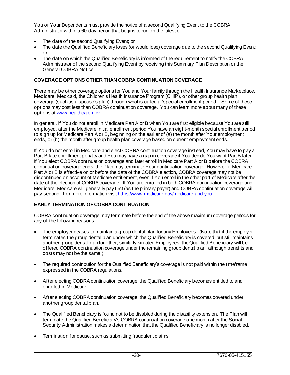You or Your Dependents must provide the notice of a second Qualifying Event to the COBRA Administrator within a 60-day period that begins to run on the latest of:

- The date of the second Qualifying Event; or
- The date the Qualified Beneficiary loses (or would lose) coverage due to the second Qualifying Event; or
- The date on which the Qualified Beneficiary is informed of the requirement to notify the COBRA Administrator of the second Qualifying Event by receiving this Summary Plan Description or the General COBRA Notice.

# **COVERAGE OPTIONS OTHER THAN COBRA CONTINUATION COVERAGE**

There may be other coverage options for You and Your family through the Health Insurance Marketplace, Medicare, Medicaid, the Children's Health Insurance Program (CHIP), or other group health plan coverage (such as a spouse's plan) through what is called a "special enrollment period." Some of these options may cost less than COBRA continuation coverage. You can learn more about many of these options a[t www.healthcare.gov](http://www.healthcare.gov/).

In general, if You do not enroll in Medicare Part A or B when You are first eligible because You are still employed, after the Medicare initial enrollment period You have an eight-month special enrollment period to sign up for Medicare Part A or B, beginning on the earlier of (a) the month after Your employment ends, or (b) the month after group health plan coverage based on current employment ends.

If You do not enroll in Medicare and elect COBRA continuation coverage instead, You may have to pay a Part B late enrollment penalty and You may have a gap in coverage if You decide You want Part B later. If You elect COBRA continuation coverage and later enroll in Medicare Part A or B before the COBRA continuation coverage ends, the Plan may terminate Your continuation coverage. However, if Medicare Part A or B is effective on or before the date of the COBRA election, COBRA coverage may not be discontinued on account of Medicare entitlement, even if You enroll in the other part of Medicare after the date of the election of COBRA coverage. If You are enrolled in both COBRA continuation coverage and Medicare, Medicare will generally pay first (as the primary payer) and COBRA continuation coverage will pay second. For more information visi[t https://www.medicare.gov/medicare-and-you](https://www.medicare.gov/medicare-and-you).

# **EARLY TERMINATION OF COBRA CONTINUATION**

COBRA continuation coverage may terminate before the end of the above maximum coverage periods for any of the following reasons:

- The employer ceases to maintain a group dental plan for any Employees. (Note that if the employer terminates the group dental plan under which the Qualified Beneficiary is covered, but still maintains another group dental plan for other, similarly situated Employees, the Qualified Beneficiary will be offered COBRA continuation coverage under the remaining group dental plan, although benefits and costs may not be the same.)
- The required contribution for the Qualified Beneficiary's coverage is not paid within the timeframe expressed in the COBRA regulations.
- After electing COBRA continuation coverage, the Qualified Beneficiary becomes entitled to and enrolled in Medicare.
- After electing COBRA continuation coverage, the Qualified Beneficiary becomes covered under another group dental plan.
- The Qualified Beneficiary is found not to be disabled during the disability extension. The Plan will terminate the Qualified Beneficiary's COBRA continuation coverage one month after the Social Security Administration makes a determination that the Qualified Beneficiary is no longer disabled.
- Termination for cause, such as submitting fraudulent claims.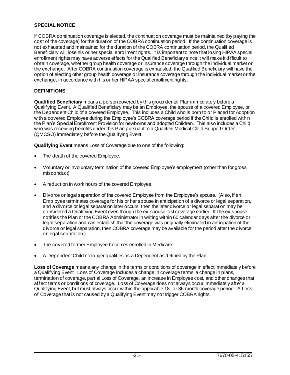# **SPECIAL NOTICE**

If COBRA continuation coverage is elected, the continuation coverage must be maintained (by paying the cost of the coverage) for the duration of the COBRA continuation period. If the continuation coverage is not exhausted and maintained for the duration of the COBRA continuation period, the Qualified Beneficiary will lose his or her special enrollment rights. It is important to note that losing HIPAA special enrollment rights may have adverse effects for the Qualified Beneficiary since it will make it difficult to obtain coverage, whether group health coverage or insurance coverage through the individual market or the exchange. After COBRA continuation coverage is exhausted, the Qualified Beneficiary will have the option of electing other group health coverage or insurance coverage through the individual market or the exchange, in accordance with his or her HIPAA special enrollment rights.

# **DEFINITIONS**

**Qualified Beneficiary** means a person covered by this group dental Plan immediately before a Qualifying Event. A Qualified Beneficiary may be an Employee, the spouse of a covered Employee, or the Dependent Child of a covered Employee. This includes a Child who is born to or Placed for Adoption with a covered Employee during the Employee's COBRA coverage period if the Child is enrolled within the Plan's Special Enrollment Provision for newborns and adopted Children. This also includes a Child who was receiving benefits under this Plan pursuant to a Qualified Medical Child Support Order (QMCSO) immediately before the Qualifying Event.

**Qualifying Event** means Loss of Coverage due to one of the following:

- The death of the covered Employee.
- Voluntary or involuntary termination of the covered Employee's employment (other than for gross misconduct).
- A reduction in work hours of the covered Employee.
- Divorce or legal separation of the covered Employee from the Employee's spouse. (Also, if an Employee terminates coverage for his or her spouse in anticipation of a divorce or legal separation, and a divorce or legal separation later occurs, then the later divorce or legal separation may be considered a Qualifying Event even though the ex-spouse lost coverage earlier. If the ex-spouse notifies the Plan or the COBRA Administrator in writing within 60 calendar days after the divorce or legal separation and can establish that the coverage was originally eliminated in anticipation of the divorce or legal separation, then COBRA coverage may be available for the period after the divorce or legal separation.)
- The covered former Employee becomes enrolled in Medicare.
- A Dependent Child no longer qualifies as a Dependent as defined by the Plan.

**Loss of Coverage** means any change in the terms or conditions of coverage in effect immediately before a Qualifying Event. Loss of Coverage includes a change in coverage terms, a change in plans, termination of coverage, partial Loss of Coverage, an increase in Employee cost, and other changes that affect terms or conditions of coverage. Loss of Coverage does not always occur immediately after a Qualifying Event, but must always occur within the applicable 18- or 36-month coverage period. A Loss of Coverage that is not caused by a Qualifying Event may not trigger COBRA rights.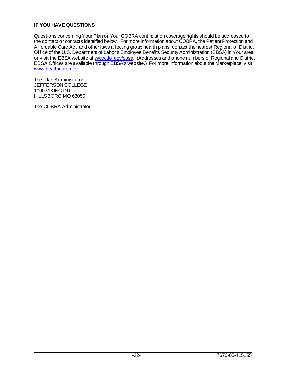# **IF YOU HAVE QUESTIONS**

Questions concerning Your Plan or Your COBRA continuation coverage rights should be addressed to the contact or contacts identified below. For more information about COBRA, the Patient Protection and Affordable Care Act, and other laws affecting group health plans, contact the nearest Regional or District Office of the U.S. Department of Labor's Employee Benefits Security Administration (EBSA) in Your area or visit the EBSA website a[t www.dol.gov/ebsa](http://www.dol.gov/ebsa). (Addresses and phone numbers of Regional and District EBSA Offices are available through EBSA's website.) For more information about the Marketplace, visit [www.healthcare.gov](http://www.healthcare.gov/).

The Plan Administrator: JEFFERSON COLLEGE 1000 VIKING DR HILLSBORO MO 63050

The COBRA Administrator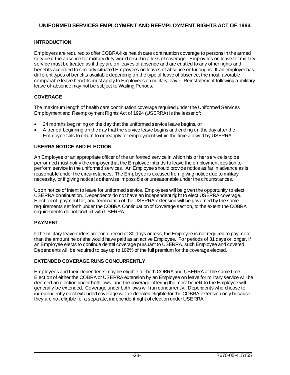# **UNIFORMED SERVICES EMPLOYMENT AND REEMPLOYMENT RIGHTS ACT OF 1994**

# **INTRODUCTION**

Employers are required to offer COBRA-like health care continuation coverage to persons in the armed service if the absence for military duty would result in a loss of coverage. Employees on leave for military service must be treated as if they are on leaves of absence and are entitled to any other rights and benefits accorded to similarly situated Employees on leaves of absence or furloughs. If an employer has different types of benefits available depending on the type of leave of absence, the most favorable comparable leave benefits must apply to Employees on military leave. Reinstatement following a military leave of absence may not be subject to Waiting Periods.

# **COVERAGE**

The maximum length of health care continuation coverage required under the Uniformed Services Employment and Reemployment Rights Act of 1994 (USERRA) is the lesser of:

- 24 months beginning on the day that the uniformed service leave begins, or
- A period beginning on the day that the service leave begins and ending on the day after the Employee fails to return to or reapply for employment within the time allowed by USERRA.

# **USERRA NOTICE AND ELECTION**

An Employee or an appropriate officer of the uniformed service in which his or her service is to be performed must notify the employer that the Employee intends to leave the employment position to perform service in the uniformed services. An Employee should provide notice as far in advance as is reasonable under the circumstances. The Employee is excused from giving notice due to military necessity, or if giving notice is otherwise impossible or unreasonable under the circumstances.

Upon notice of intent to leave for uniformed service, Employees will be given the opportunity to elect USERRA continuation. Dependents do not have an independent right to elect USERRA coverage. Election of, payment for, and termination of the USERRA extension will be governed by the same requirements set forth under the COBRA Continuation of Coverage section, to the extent the COBRA requirements do not conflict with USERRA.

# **PAYMENT**

If the military leave orders are for a period of 30 days or less, the Employee is not required to pay more than the amount he or she would have paid as an active Employee. For periods of 31 days or longer, if an Employee elects to continue dental coverage pursuant to USERRA, such Employee and covered Dependents will be required to pay up to 102% of the full premium for the coverage elected.

# **EXTENDED COVERAGE RUNS CONCURRENTLY**

Employees and their Dependents may be eligible for both COBRA and USERRA at the same time. Election of either the COBRA or USERRA extension by an Employee on leave for military service will be deemed an election under both laws, and the coverage offering the most benefit to the Employee will generally be extended. Coverage under both laws will run concurrently. Dependents who choose to independently elect extended coverage will be deemed eligible for the COBRA extension only because they are not eligible for a separate, independent right of election under USERRA.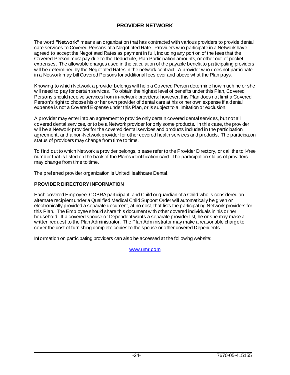# **PROVIDER NETWORK**

The word **"Network"** means an organization that has contracted with various providers to provide dental care services to Covered Persons at a Negotiated Rate. Providers who participate in a Network have agreed to accept the Negotiated Rates as payment in full, including any portion of the fees that the Covered Person must pay due to the Deductible, Plan Participation amounts, or other out-of-pocket expenses. The allowable charges used in the calculation of the payable benefit to participating providers will be determined by the Negotiated Rates in the network contract. A provider who does not participate in a Network may bill Covered Persons for additional fees over and above what the Plan pays.

Knowing to which Network a provider belongs will help a Covered Person determine how much he or she will need to pay for certain services. To obtain the highest level of benefits under this Plan, Covered Persons should receive services from in-network providers; however, this Plan does not limit a Covered Person's right to choose his or her own provider of dental care at his or her own expense if a dental expense is not a Covered Expense under this Plan, or is subject to a limitation or exclusion.

A provider may enter into an agreement to provide only certain covered dental services, but not all covered dental services, or to be a Network provider for only some products. In this case, the provider will be a Network provider for the covered dental services and products included in the participation agreement, and a non-Network provider for other covered health services and products. The participation status of providers may change from time to time.

To find out to which Network a provider belongs, please refer to the Provider Directory, or call the toll-free number that is listed on the back of the Plan's identification card. The participation status of providers may change from time to time.

The preferred provider organization is UnitedHealthcare Dental.

# **PROVIDER DIRECTORY INFORMATION**

Each covered Employee, COBRA participant, and Child or guardian of a Child who is considered an alternate recipient under a Qualified Medical Child Support Order will automatically be given or electronically provided a separate document, at no cost, that lists the participating Network providers for this Plan. The Employee should share this document with other covered individuals in his or her household. If a covered spouse or Dependent wants a separate provider list, he or she may make a written request to the Plan Administrator. The Plan Administrator may make a reasonable charge to cover the cost of furnishing complete copies to the spouse or other covered Dependents.

Information on participating providers can also be accessed at the following website:

[www.umr.com](http://www.umr.com/)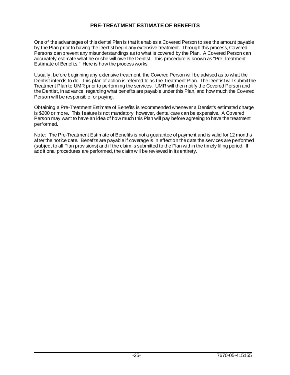# **PRE-TREATMENT ESTIMATE OF BENEFITS**

One of the advantages of this dental Plan is that it enables a Covered Person to see the amount payable by the Plan prior to having the Dentist begin any extensive treatment. Through this process, Covered Persons can prevent any misunderstandings as to what is covered by the Plan. A Covered Person can accurately estimate what he or she will owe the Dentist. This procedure is known as "Pre-Treatment Estimate of Benefits." Here is how the process works:

Usually, before beginning any extensive treatment, the Covered Person will be advised as to what the Dentist intends to do. This plan of action is referred to as the Treatment Plan. The Dentist will submit the Treatment Plan to UMR prior to performing the services. UMR will then notify the Covered Person and the Dentist, in advance, regarding what benefits are payable under this Plan, and how much the Covered Person will be responsible for paying.

Obtaining a Pre-Treatment Estimate of Benefits is recommended whenever a Dentist's estimated charge is \$200 or more. This feature is not mandatory; however, dental care can be expensive. A Covered Person may want to have an idea of how much this Plan will pay before agreeing to have the treatment performed.

Note: The Pre-Treatment Estimate of Benefits is not a guarantee of payment and is valid for 12 months after the notice date. Benefits are payable if coverage is in effect on the date the services are performed (subject to all Plan provisions) and if the claim is submitted to the Plan within the timely filing period. If additional procedures are performed, the claim will be reviewed in its entirety.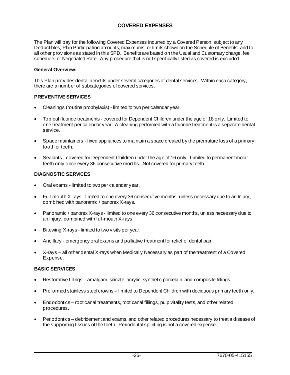# **COVERED EXPENSES**

The Plan will pay for the following Covered Expenses Incurred by a Covered Person, subject to any Deductibles, Plan Participation amounts, maximums, or limits shown on the Schedule of Benefits, and to all other provisions as stated in this SPD. Benefits are based on the Usual and Customary charge, fee schedule, or Negotiated Rate. Any procedure that is not specifically listed as covered is excluded.

#### **General Overview:**

This Plan provides dental benefits under several categories of dental services. Within each category, there are a number of subcategories of covered services.

### **PREVENTIVE SERVICES**

- Cleanings (routine prophylaxis) limited to two per calendar year.
- Topical fluoride treatments covered for Dependent Children under the age of 18 only. Limited to one treatment per calendar year. A cleaning performed with a fluoride treatment is a separate dental service.
- Space maintainers fixed appliances to maintain a space created by the premature loss of a primary tooth or teeth.
- Sealants covered for Dependent Children under the age of 16 only. Limited to permanent molar teeth only once every 36 consecutive months. Not covered for primary teeth.

#### **DIAGNOSTIC SERVICES**

- Oral exams limited to two per calendar year.
- Full-mouth X-rays limited to one every 36 consecutive months, unless necessary due to an Injury, combined with panoramic / panorex X-rays.
- Panoramic / panorex X-rays limited to one every 36 consecutive months, unless necessary due to an Injury, combined with full-mouth X-rays.
- Bitewing X-rays limited to two visits per year.
- Ancillary emergency oral exams and palliative treatment for relief of dental pain.
- X-rays all other dental X-rays when Medically Necessary as part of the treatment of a Covered Expense.

#### **BASIC SERVICES**

- Restorative fillings amalgam, silicate, acrylic, synthetic porcelain, and composite fillings.
- Preformed stainless steel crowns limited to Dependent Children with deciduous primary teeth only.
- Endodontics root canal treatments, root canal fillings, pulp vitality tests, and other related procedures.
- Periodontics debridement and exams, and other related procedures necessary to treat a disease of the supporting tissues of the teeth. Periodontal splinting is not a covered expense.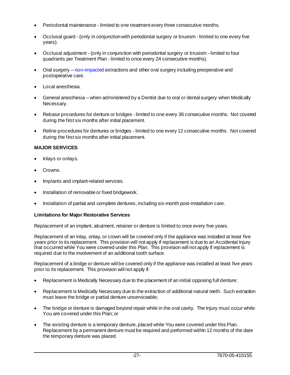- Periodontal maintenance limited to one treatment every three consecutive months.
- Occlusal guard (only in conjunction with periodontal surgery or bruxism limited to one every five years).
- Occlusal adjustment (only in conjunction with periodontal surgery or bruxism limited to four quadrants per Treatment Plan - limited to once every 24 consecutive months).
- Oral surgery non-impacted extractions and other oral surgery including preoperative and postoperative care.
- Local anesthesia.
- General anesthesia when administered by a Dentist due to oral or dental surgery when Medically Necessary.
- Rebase procedures for denture or bridges limited to one every 36 consecutive months. Not covered during the first six months after initial placement.
- Reline procedures for dentures or bridges limited to one every 12 consecutive months. Not covered during the first six months after initial placement.

# **MAJOR SERVICES**

- Inlays or onlays.
- Crowns.
- Implants and implant-related services.
- Installation of removable or fixed bridgework.
- Installation of partial and complete dentures, including six-month post-installation care.

# **Limitations for Major Restorative Services**

Replacement of an implant, abutment, retainer or denture is limited to once every five years.

Replacement of an inlay, onlay, or crown will be covered only if the appliance was installed at least five years prior to its replacement. This provision will not apply if replacement is due to an Accidental Injury that occurred while You were covered under this Plan. This provision will not apply if replacement is required due to the involvement of an additional tooth surface.

Replacement of a bridge or denture will be covered only if the appliance was installed at least five years prior to its replacement. This provision will not apply if:

- Replacement is Medically Necessary due to the placement of an initial opposing full denture;
- Replacement is Medically Necessary due to the extraction of additional natural teeth. Such extraction must leave the bridge or partial denture unserviceable;
- The bridge or denture is damaged beyond repair while in the oral cavity. The Injury must occur while You are covered under this Plan; or
- The existing denture is a temporary denture, placed while You were covered under this Plan. Replacement by a permanent denture must be required and performed within 12 months of the date the temporary denture was placed.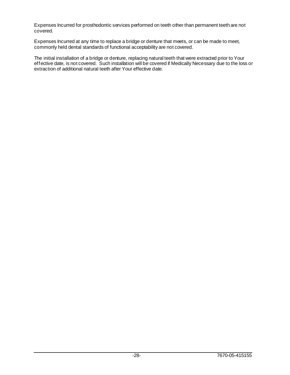Expenses Incurred for prosthodontic services performed on teeth other than permanent teeth are not covered.

Expenses Incurred at any time to replace a bridge or denture that meets, or can be made to meet, commonly held dental standards of functional acceptability are not covered.

The initial installation of a bridge or denture, replacing natural teeth that were extracted prior to Your effective date, is not covered. Such installation will be covered if Medically Necessary due to the loss or extraction of additional natural teeth after Your effective date.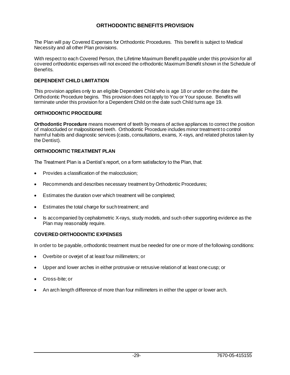# **ORTHODONTIC BENEFITS PROVISION**

The Plan will pay Covered Expenses for Orthodontic Procedures. This benefit is subject to Medical Necessity and all other Plan provisions.

With respect to each Covered Person, the Lifetime Maximum Benefit payable under this provision for all covered orthodontic expenses will not exceed the orthodontic Maximum Benefit shown in the Schedule of Benefits.

## **DEPENDENT CHILD LIMITATION**

This provision applies only to an eligible Dependent Child who is age 18 or under on the date the Orthodontic Procedure begins. This provision does not apply to You or Your spouse. Benefits will terminate under this provision for a Dependent Child on the date such Child turns age 19.

# **ORTHODONTIC PROCEDURE**

**Orthodontic Procedure** means movement of teeth by means of active appliances to correct the position of maloccluded or malpositioned teeth. Orthodontic Procedure includes minor treatment to control harmful habits and diagnostic services (casts, consultations, exams, X-rays, and related photos taken by the Dentist).

# **ORTHODONTIC TREATMENT PLAN**

The Treatment Plan is a Dentist's report, on a form satisfactory to the Plan, that:

- Provides a classification of the malocclusion;
- Recommends and describes necessary treatment by Orthodontic Procedures;
- Estimates the duration over which treatment will be completed;
- Estimates the total charge for such treatment; and
- Is accompanied by cephalometric X-rays, study models, and such other supporting evidence as the Plan may reasonably require.

### **COVERED ORTHODONTIC EXPENSES**

In order to be payable, orthodontic treatment must be needed for one or more of the following conditions:

- Overbite or overjet of at least four millimeters; or
- Upper and lower arches in either protrusive or retrusive relation of at least one cusp; or
- Cross-bite; or
- An arch length difference of more than four millimeters in either the upper or lower arch.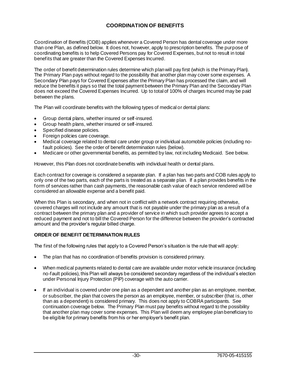# **COORDINATION OF BENEFITS**

Coordination of Benefits (COB) applies whenever a Covered Person has dental coverage under more than one Plan, as defined below. It does not, however, apply to prescription benefits. The purpose of coordinating benefits is to help Covered Persons pay for Covered Expenses, but not to result in total benefits that are greater than the Covered Expenses Incurred.

The order of benefit determination rules determine which plan will pay first (which is the Primary Plan). The Primary Plan pays without regard to the possibility that another plan may cover some expenses. A Secondary Plan pays for Covered Expenses after the Primary Plan has processed the claim, and will reduce the benefits it pays so that the total payment between the Primary Plan and the Secondary Plan does not exceed the Covered Expenses Incurred. Up to total of 100% of charges Incurred may be paid between the plans.

The Plan will coordinate benefits with the following types of medical or dental plans:

- Group dental plans, whether insured or self-insured.
- Group health plans, whether insured or self-insured.
- Specified disease policies.
- Foreign policies care coverage.
- Medical coverage related to dental care under group or individual automobile policies (including nofault policies). See the order of benefit determination rules (below).
- Medicare or other governmental benefits, as permitted by law, not including Medicaid. See below.

However, this Plan does not coordinate benefits with individual health or dental plans.

Each contract for coverage is considered a separate plan. If a plan has two parts and COB rules apply to only one of the two parts, each of the parts is treated as a separate plan. If a plan provides benefits in the form of services rather than cash payments, the reasonable cash value of each service rendered will be considered an allowable expense and a benefit paid.

When this Plan is secondary, and when not in conflict with a network contract requiring otherwise, covered charges will not include any amount that is not payable under the primary plan as a result of a contract between the primary plan and a provider of service in which such provider agrees to accept a reduced payment and not to bill the Covered Person for the difference between the provider's contracted amount and the provider's regular billed charge.

### **ORDER OF BENEFIT DETERMINATION RULES**

The first of the following rules that apply to a Covered Person's situation is the rule that will apply:

- The plan that has no coordination of benefits provision is considered primary.
- When medical payments related to dental care are available under motor vehicle insurance (including no-fault policies), this Plan will always be considered secondary regardless of the individual's election under Personal Injury Protection (PIP) coverage with the auto carrier.
- If an individual is covered under one plan as a dependent and another plan as an employee, member, or subscriber, the plan that covers the person as an employee, member, or subscriber (that is, other than as a dependent) is considered primary. This does not apply to COBRA participants. See continuation coverage below. The Primary Plan must pay benefits without regard to the possibility that another plan may cover some expenses. This Plan will deem any employee plan beneficiary to be eligible for primary benefits from his or her employer's benefit plan.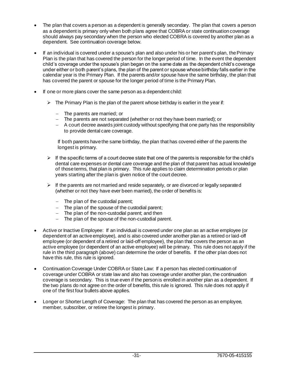- The plan that covers a person as a dependent is generally secondary. The plan that covers a person as a dependent is primary only when both plans agree that COBRA or state continuation coverage should always pay secondary when the person who elected COBRA is covered by another plan as a dependent. See continuation coverage below.
- If an individual is covered under a spouse's plan and also under his or her parent's plan, the Primary Plan is the plan that has covered the person for the longer period of time. In the event the dependent child's coverage under the spouse's plan began on the same date as the dependent child's coverage under either or both parent's plans, the plan of the parent or spouse whose birthday falls earlier in the calendar year is the Primary Plan. If the parents and/or spouse have the same birthday, the plan that has covered the parent or spouse for the longer period of time is the Primary Plan.
- If one or more plans cover the same person as a dependent child:
	- $\triangleright$  The Primary Plan is the plan of the parent whose birthday is earlier in the year if:
		- − The parents are married; or
		- − The parents are not separated (whether or not they have been married); or
		- − A court decree awards joint custody without specifying that one party has the responsibility to provide dental care coverage.

If both parents have the same birthday, the plan that has covered either of the parents the longest is primary.

- $\triangleright$  If the specific terms of a court decree state that one of the parents is responsible for the child's dental care expenses or dental care coverage and the plan of that parent has actual knowledge of those terms, that plan is primary. This rule applies to claim determination periods or plan years starting after the plan is given notice of the court decree.
- $\triangleright$  If the parents are not married and reside separately, or are divorced or legally separated (whether or not they have ever been married), the order of benefits is:
	- − The plan of the custodial parent;
	- − The plan of the spouse of the custodial parent;
	- − The plan of the non-custodial parent; and then
	- − The plan of the spouse of the non-custodial parent.
- Active or Inactive Employee: If an individual is covered under one plan as an active employee (or dependent of an active employee), and is also covered under another plan as a retired or laid-off employee (or dependent of a retired or laid-off employee), the plan that covers the person as an active employee (or dependent of an active employee) will be primary. This rule does not apply if the rule in the third paragraph (above) can determine the order of benefits. If the other plan does not have this rule, this rule is ignored.
- Continuation Coverage Under COBRA or State Law: If a person has elected continuation of coverage under COBRA or state law and also has coverage under another plan, the continuation coverage is secondary. This is true even if the person is enrolled in another plan as a dependent. If the two plans do not agree on the order of benefits, this rule is ignored. This rule does not apply if one of the first four bullets above applies.
- Longer or Shorter Length of Coverage: The plan that has covered the person as an employee, member, subscriber, or retiree the longest is primary.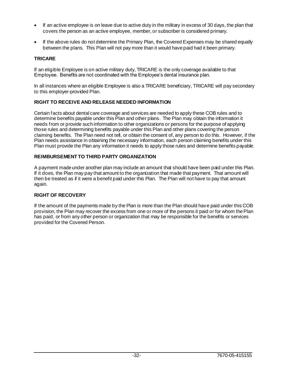- If an active employee is on leave due to active duty in the military in excess of 30 days, the plan that covers the person as an active employee, member, or subscriber is considered primary.
- If the above rules do not determine the Primary Plan, the Covered Expenses may be shared equally between the plans. This Plan will not pay more than it would have paid had it been primary.

# **TRICARE**

If an eligible Employee is on active military duty, TRICARE is the only coverage available to that Employee. Benefits are not coordinated with the Employee's dental insurance plan.

In all instances where an eligible Employee is also a TRICARE beneficiary, TRICARE will pay secondary to this employer-provided Plan.

# **RIGHT TO RECEIVE AND RELEASE NEEDED INFORMATION**

Certain facts about dental care coverage and services are needed to apply these COB rules and to determine benefits payable under this Plan and other plans. The Plan may obtain the information it needs from or provide such information to other organizations or persons for the purpose of applying those rules and determining benefits payable under this Plan and other plans covering the person claiming benefits. The Plan need not tell, or obtain the consent of, any person to do this. However, if the Plan needs assistance in obtaining the necessary information, each person claiming benefits under this Plan must provide the Plan any information it needs to apply those rules and determine benefits payable.

# **REIMBURSEMENT TO THIRD PARTY ORGANIZATION**

A payment made under another plan may include an amount that should have been paid under this Plan. If it does, the Plan may pay that amount to the organization that made that payment. That amount will then be treated as if it were a benefit paid under this Plan. The Plan will not have to pay that amount again.

# **RIGHT OF RECOVERY**

If the amount of the payments made by the Plan is more than the Plan should have paid under this COB provision, the Plan may recover the excess from one or more of the persons it paid or for whom the Plan has paid, or from any other person or organization that may be responsible for the benefits or services provided for the Covered Person.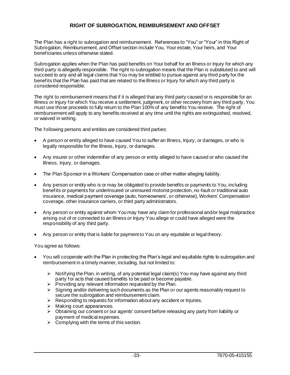# **RIGHT OF SUBROGATION, REIMBURSEMENT AND OFFSET**

The Plan has a right to subrogation and reimbursement. References to "You" or "Your" in this Right of Subrogation, Reimbursement, and Offset section include You, Your estate, Your heirs, and Your beneficiaries unless otherwise stated.

Subrogation applies when the Plan has paid benefits on Your behalf for an Illness or Injury for which any third party is allegedly responsible. The right to subrogation means that the Plan is substituted to and will succeed to any and all legal claims that You may be entitled to pursue against any third party for the benefits that the Plan has paid that are related to the Illness or Injury for which any third party is considered responsible.

The right to reimbursement means that if it is alleged that any third party caused or is responsible for an Illness or Injury for which You receive a settlement, judgment, or other recovery from any third party, You must use those proceeds to fully return to the Plan 100% of any benefits You receive. The right of reimbursement will apply to any benefits received at any time until the rights are extinguished, resolved, or waived in writing.

The following persons and entities are considered third parties:

- A person or entity alleged to have caused You to suffer an Illness, Injury, or damages, or who is legally responsible for the Illness, Injury, or damages.
- Any insurer or other indemnifier of any person or entity alleged to have caused or who caused the Illness, Injury, or damages.
- The Plan Sponsor in a Workers' Compensation case or other matter alleging liability.
- Any person or entity who is or may be obligated to provide benefits or payments to You, including benefits or payments for underinsured or uninsured motorist protection, no-fault or traditional auto insurance, medical payment coverage (auto, homeowners', or otherwise), Workers' Compensation coverage, other insurance carriers, or third party administrators.
- Any person or entity against whom You may have any claim for professional and/or legal malpractice arising out of or connected to an Illness or Injury You allege or could have alleged were the responsibility of any third party.
- Any person or entity that is liable for payment to You on any equitable or legal theory.

You agree as follows:

- You will cooperate with the Plan in protecting the Plan's legal and equitable rights to subrogation and reimbursement in a timely manner, including, but not limited to:
	- $\triangleright$  Notifying the Plan, in writing, of any potential legal claim(s) You may have against any third party for acts that caused benefits to be paid or become payable.
	- $\triangleright$  Providing any relevant information requested by the Plan.
	- $\triangleright$  Signing and/or delivering such documents as the Plan or our agents reasonably request to secure the subrogation and reimbursement claim.
	- ➢ Responding to requests for information about any accident or Injuries.
	- $\triangleright$  Making court appearances.
	- ➢ Obtaining our consent or our agents' consent before releasing any party from liability or payment of medical expenses.
	- $\triangleright$  Complying with the terms of this section.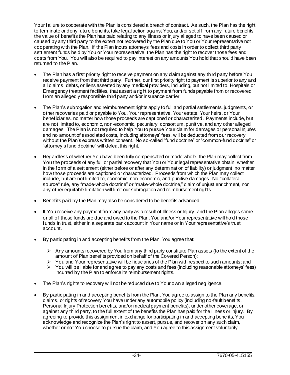Your failure to cooperate with the Plan is considered a breach of contract. As such, the Plan has the right to terminate or deny future benefits, take legal action against You, and/or set off from any future benefits the value of benefits the Plan has paid relating to any Illness or Injury alleged to have been caused or caused by any third party to the extent not recovered by the Plan due to You or Your representative not cooperating with the Plan. If the Plan incurs attorneys' fees and costs in order to collect third party settlement funds held by You or Your representative, the Plan has the right to recover those fees and costs from You. You will also be required to pay interest on any amounts You hold that should have been returned to the Plan.

- The Plan has a first priority right to receive payment on any claim against any third party before You receive payment from that third party. Further, our first priority right to payment is superior to any and all claims, debts, or liens asserted by any medical providers, including, but not limited to, Hospitals or Emergency treatment facilities, that assert a right to payment from funds payable from or recovered from an allegedly responsible third party and/or insurance carrier.
- The Plan's subrogation and reimbursement rights apply to full and partial settlements, judgments, or other recoveries paid or payable to You, Your representative, Your estate, Your heirs, or Your beneficiaries, no matter how those proceeds are captioned or characterized. Payments include, but are not limited to, economic, non-economic, pecuniary, consortium, punitive, and any other alleged damages. The Plan is not required to help You to pursue Your claim for damages or personal Injuries and no amount of associated costs, including attorneys' fees, will be deducted from our recovery without the Plan's express written consent. No so-called "fund doctrine" or "common-fund doctrine" or "attorney's fund doctrine" will defeat this right.
- Regardless of whether You have been fully compensated or made whole, the Plan may collect from You the proceeds of any full or partial recovery that You or Your legal representative obtain, whether in the form of a settlement (either before or after any determination of liability) or judgment, no matter how those proceeds are captioned or characterized. Proceeds from which the Plan may collect include, but are not limited to, economic, non-economic, and punitive damages. No "collateral source" rule, any "made-whole doctrine" or "make-whole doctrine," claim of unjust enrichment, nor any other equitable limitation will limit our subrogation and reimbursement rights.
- Benefits paid by the Plan may also be considered to be benefits advanced.
- If You receive any payment from any party as a result of Illness or Injury, and the Plan alleges some or all of those funds are due and owed to the Plan, You and/or Your representative will hold those funds in trust, either in a separate bank account in Your name or in Your representative's trust account.
- By participating in and accepting benefits from the Plan, You agree that:
	- $\triangleright$  Any amounts recovered by You from any third party constitute Plan assets (to the extent of the amount of Plan benefits provided on behalf of the Covered Person);
	- $\triangleright$  You and Your representative will be fiduciaries of the Plan with respect to such amounts; and
	- ➢ You will be liable for and agree to pay any costs and fees (including reasonable attorneys' fees) Incurred by the Plan to enforce its reimbursement rights.
- The Plan's rights to recovery will not be reduced due to Your own alleged negligence.
- By participating in and accepting benefits from the Plan, You agree to assign to the Plan any benefits, claims, or rights of recovery You have under any automobile policy (including no-fault benefits, Personal Injury Protection benefits, and/or medical payment benefits), under other coverage, or against any third party, to the full extent of the benefits the Plan has paid for the Illness or Injury. By agreeing to provide this assignment in exchange for participating in and accepting benefits, You acknowledge and recognize the Plan's right to assert, pursue, and recover on any such claim, whether or not You choose to pursue the claim, and You agree to this assignment voluntarily.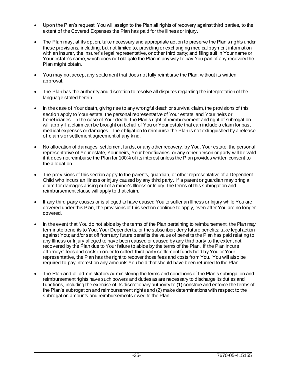- Upon the Plan's request, You will assign to the Plan all rights of recovery against third parties, to the extent of the Covered Expenses the Plan has paid for the Illness or Injury.
- The Plan may, at its option, take necessary and appropriate action to preserve the Plan's rights under these provisions, including, but not limited to, providing or exchanging medical payment information with an insurer, the insurer's legal representative, or other third party; and filing suit in Your name or Your estate's name, which does not obligate the Plan in any way to pay You part of any recovery the Plan might obtain.
- You may not accept any settlement that does not fully reimburse the Plan, without its written approval.
- The Plan has the authority and discretion to resolve all disputes regarding the interpretation of the language stated herein.
- In the case of Your death, giving rise to any wrongful death or survival claim, the provisions of this section apply to Your estate, the personal representative of Your estate, and Your heirs or beneficiaries. In the case of Your death, the Plan's right of reimbursement and right of subrogation will apply if a claim can be brought on behalf of You or Your estate that can include a claim for past medical expenses or damages. The obligation to reimburse the Plan is not extinguished by a release of claims or settlement agreement of any kind.
- No allocation of damages, settlement funds, or any other recovery, by You, Your estate, the personal representative of Your estate, Your heirs, Your beneficiaries, or any other person or party will be valid if it does not reimburse the Plan for 100% of its interest unless the Plan provides written consent to the allocation.
- The provisions of this section apply to the parents, guardian, or other representative of a Dependent Child who incurs an Illness or Injury caused by any third party. If a parent or guardian may bring a claim for damages arising out of a minor's Illness or Injury, the terms of this subrogation and reimbursement clause will apply to that claim.
- If any third party causes or is alleged to have caused You to suffer an Illness or Injury while You are covered under this Plan, the provisions of this section continue to apply, even after You are no longer covered.
- In the event that You do not abide by the terms of the Plan pertaining to reimbursement, the Plan may terminate benefits to You, Your Dependents, or the subscriber; deny future benefits; take legal action against You; and/or set off from any future benefits the value of benefits the Plan has paid relating to any Illness or Injury alleged to have been caused or caused by any third party to the extent not recovered by the Plan due to Your failure to abide by the terms of the Plan. If the Plan incurs attorneys' fees and costs in order to collect third party settlement funds held by You or Your representative, the Plan has the right to recover those fees and costs from You. You will also be required to pay interest on any amounts You hold that should have been returned to the Plan.
- The Plan and all administrators administering the terms and conditions of the Plan's subrogation and reimbursement rights have such powers and duties as are necessary to discharge its duties and functions, including the exercise of its discretionary authority to (1) construe and enforce the terms of the Plan's subrogation and reimbursement rights and (2) make determinations with respect to the subrogation amounts and reimbursements owed to the Plan.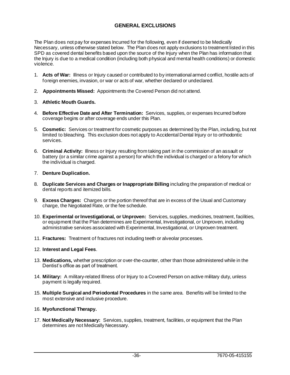# **GENERAL EXCLUSIONS**

The Plan does not pay for expenses Incurred for the following, even if deemed to be Medically Necessary, unless otherwise stated below. The Plan does not apply exclusions to treatment listed in this SPD as covered dental benefits based upon the source of the Injury when the Plan has information that the Injury is due to a medical condition (including both physical and mental health conditions) or domestic violence.

- 1. **Acts of War:** Illness or Injury caused or contributed to by international armed conflict, hostile acts of foreign enemies, invasion, or war or acts of war, whether declared or undeclared.
- 2. **Appointments Missed:** Appointments the Covered Person did not attend.
- 3. **Athletic Mouth Guards.**
- 4. **Before Effective Date and After Termination:** Services, supplies, or expenses Incurred before coverage begins or after coverage ends under this Plan.
- 5. **Cosmetic:** Services or treatment for cosmetic purposes as determined by the Plan, including, but not limited to bleaching. This exclusion does not apply to Accidental Dental Injury or to orthodontic services.
- 6. **Criminal Activity:** Illness or Injury resulting from taking part in the commission of an assault or battery (or a similar crime against a person) for which the individual is charged or a felony for which the individual is charged.

# 7. **Denture Duplication.**

- 8. **Duplicate Services and Charges or Inappropriate Billing** including the preparation of medical or dental reports and itemized bills.
- 9. **Excess Charges:** Charges or the portion thereof that are in excess of the Usual and Customary charge, the Negotiated Rate, or the fee schedule.
- 10. **Experimental or Investigational, or Unproven:** Services, supplies, medicines, treatment, facilities, or equipment that the Plan determines are Experimental, Investigational, or Unproven, including administrative services associated with Experimental, Investigational, or Unproven treatment.
- 11. **Fractures:** Treatment of fractures not including teeth or alveolar processes.

### 12. **Interest and Legal Fees**.

- 13. **Medications,** whether prescription or over-the-counter, other than those administered while in the Dentist's office as part of treatment.
- 14. **Military:** A military-related Illness of or Injury to a Covered Person on active military duty, unless payment is legally required.
- 15. **Multiple Surgical and Periodontal Procedures** in the same area. Benefits will be limited to the most extensive and inclusive procedure.

### 16. **Myofunctional Therapy.**

17. **Not Medically Necessary:** Services, supplies, treatment, facilities, or equipment that the Plan determines are not Medically Necessary.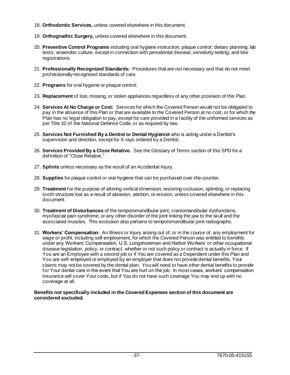- 18. **Orthodontic Services,** unless covered elsewhere in this document.
- 19. **Orthognathic Surgery,** unless covered elsewhere in this document.
- 20. **Preventive Control Programs** including oral hygiene instruction; plaque control; dietary planning; lab tests; anaerobic culture, except in connection with periodontal disease; sensitivity testing; and bite registrations.
- 21. **Professionally Recognized Standards:** Procedures that are not necessary and that do not meet professionally-recognized standards of care.
- 22. **Programs** for oral hygiene or plaque control.
- 23. **Replacement** of lost, missing, or stolen appliances regardless of any other provision of this Plan.
- 24. **Services At No Charge or Cost:** Services for which the Covered Person would not be obligated to pay in the absence of this Plan or that are available to the Covered Person at no cost, or for which the Plan has no legal obligation to pay, except for care provided in a facility of the uniformed services as per Title 32 of the National Defense Code, or as required by law.
- 25. **Services Not Furnished By a Dentist or Dental Hygienist** who is acting under a Dentist's supervision and direction, except for X-rays ordered by a Dentist.
- 26. **Services Provided By a Close Relative.** See the Glossary of Terms section of this SPD for a definition of "Close Relative."
- 27. **Splints** unless necessary as the result of an Accidental Injury.
- 28. **Supplies** for plaque control or oral hygiene that can be purchased over-the-counter.
- 29. **Treatment** for the purpose of altering vertical dimension, restoring occlusion, splinting, or replacing tooth structure lost as a result of abrasion, attrition, or erosion, unless covered elsewhere in this document.
- 30. **Treatment of Disturbances** of the temporomandibular joint, craniomandibular dysfunctions, myofascial pain syndrome, or any other disorder of the joint linking the jaw to the skull and the associated muscles. This exclusion also pertains to temporomandibular joint radiographs.
- 31. **Workers' Compensation:** An Illness or Injury arising out of, or in the course of, any employment for wage or profit, including self-employment, for which the Covered Person was entitled to benefits under any Workers' Compensation, U.S. Longshoremen and Harbor Workers' or other occupational disease legislation, policy, or contract, whether or not such policy or contract is actually in force. If You are an Employee with a second job or if You are covered as a Dependent under this Plan and You are self-employed or employed by an employer that does not provide dental benefits, Your claims may not be covered by the dental plan. You will need to have other dental benefits to provide for Your dental care in the event that You are hurt on the job. In most cases, workers' compensation insurance will cover Your costs, but if You do not have such coverage You may end up with no coverage at all.

#### **Benefits not specifically included in the Covered Expenses section of this document are considered excluded.**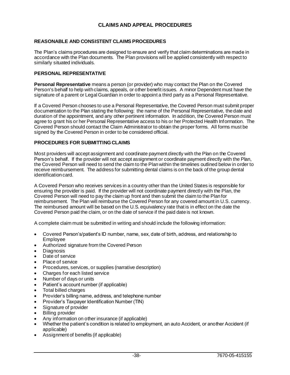# **CLAIMS AND APPEAL PROCEDURES**

# **REASONABLE AND CONSISTENT CLAIMS PROCEDURES**

The Plan's claims procedures are designed to ensure and verify that claim determinations are made in accordance with the Plan documents. The Plan provisions will be applied consistently with respect to similarly situated individuals.

## **PERSONAL REPRESENTATIVE**

**Personal Representative** means a person (or provider) who may contact the Plan on the Covered Person's behalf to help with claims, appeals, or other benefit issues. A minor Dependent must have the signature of a parent or Legal Guardian in order to appoint a third party as a Personal Representative.

If a Covered Person chooses to use a Personal Representative, the Covered Person must submit proper documentation to the Plan stating the following: the name of the Personal Representative, the date and duration of the appointment, and any other pertinent information. In addition, the Covered Person must agree to grant his or her Personal Representative access to his or her Protected Health Information. The Covered Person should contact the Claim Administrator to obtain the proper forms. All forms must be signed by the Covered Person in order to be considered official.

#### **PROCEDURES FOR SUBMITTING CLAIMS**

Most providers will accept assignment and coordinate payment directly with the Plan on the Covered Person's behalf. If the provider will not accept assignment or coordinate payment directly with the Plan, the Covered Person will need to send the claim to the Plan within the timelines outlined below in order to receive reimbursement. The address for submitting dental claims is on the back of the group dental identification card.

A Covered Person who receives services in a country other than the United States is responsible for ensuring the provider is paid. If the provider will not coordinate payment directly with the Plan, the Covered Person will need to pay the claim up front and then submit the claim to the Plan for reimbursement. The Plan will reimburse the Covered Person for any covered amount in U.S. currency. The reimbursed amount will be based on the U.S. equivalency rate that is in effect on the date the Covered Person paid the claim, or on the date of service if the paid date is not known.

A complete claim must be submitted in writing and should include the following information:

- Covered Person's/patient's ID number, name, sex, date of birth, address, and relationship to Employee
- Authorized signature from the Covered Person
- Diagnosis
- Date of service
- Place of service
- Procedures, services, or supplies (narrative description)
- Charges for each listed service
- Number of days or units
- Patient's account number (if applicable)
- Total billed charges
- Provider's billing name, address, and telephone number
- Provider's Taxpayer Identification Number (TIN)
- Signature of provider
- **Billing provider**
- Any information on other insurance (if applicable)
- Whether the patient's condition is related to employment, an auto Accident, or another Accident (if applicable)
- Assignment of benefits (if applicable)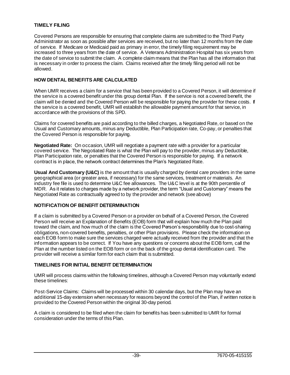# **TIMELY FILING**

Covered Persons are responsible for ensuring that complete claims are submitted to the Third Party Administrator as soon as possible after services are received, but no later than 12 months from the date of service. If Medicare or Medicaid paid as primary in error, the timely filing requirement may be increased to three years from the date of service. A Veterans Administration Hospital has six years from the date of service to submit the claim. A complete claim means that the Plan has all the information that is necessary in order to process the claim. Claims received after the timely filing period will not be allowed.

# **HOW DENTAL BENEFITS ARE CALCULATED**

When UMR receives a claim for a service that has been provided to a Covered Person, it will determine if the service is a covered benefit under this group dental Plan. If the service is not a covered benefit, the claim will be denied and the Covered Person will be responsible for paying the provider for these costs. If the service is a covered benefit, UMR will establish the allowable payment amount for that service, in accordance with the provisions of this SPD.

Claims for covered benefits are paid according to the billed charges, a Negotiated Rate, or based on the Usual and Customary amounts, minus any Deductible, Plan Participation rate, Co-pay, or penalties that the Covered Person is responsible for paying.

**Negotiated Rate:** On occasion, UMR will negotiate a payment rate with a provider for a particular covered service. The Negotiated Rate is what the Plan will pay to the provider, minus any Deductible, Plan Participation rate, or penalties that the Covered Person is responsible for paying. If a network contract is in place, the network contract determines the Plan's Negotiated Rate.

**Usual And Customary (U&C)** is the amount that is usually charged by dental care providers in the same geographical area (or greater area, if necessary) for the same services, treatment or materials. An industry fee file is used to determine U&C fee allowances. The U&C level is at the 90th percentile of MDR. As it relates to charges made by a network provider, the term "Usual and Customary" means the Negotiated Rate as contractually agreed to by the provider and network (see above)

# **NOTIFICATION OF BENEFIT DETERMINATION**

If a claim is submitted by a Covered Person or a provider on behalf of a Covered Person, the Covered Person will receive an Explanation of Benefits (EOB) form that will explain how much the Plan paid toward the claim, and how much of the claim is the Covered Person's responsibility due to cost-sharing obligations, non-covered benefits, penalties, or other Plan provisions. Please check the information on each EOB form to make sure the services charged were actually received from the provider and that the information appears to be correct. If You have any questions or concerns about the EOB form, call the Plan at the number listed on the EOB form or on the back of the group dental identification card. The provider will receive a similar form for each claim that is submitted.

### **TIMELINES FOR INITIAL BENEFIT DETERMINATION**

UMR will process claims within the following timelines, although a Covered Person may voluntarily extend these timelines:

Post-Service Claims: Claims will be processed within 30 calendar days, but the Plan may have an additional 15-day extension when necessary for reasons beyond the control of the Plan, if written notice is provided to the Covered Person within the original 30-day period.

A claim is considered to be filed when the claim for benefits has been submitted to UMR for formal consideration under the terms of this Plan.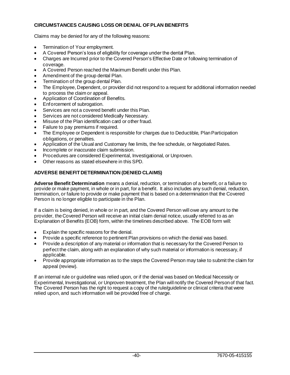# **CIRCUMSTANCES CAUSING LOSS OR DENIAL OF PLAN BENEFITS**

Claims may be denied for any of the following reasons:

- Termination of Your employment.
- A Covered Person's loss of eligibility for coverage under the dental Plan.
- Charges are Incurred prior to the Covered Person's Effective Date or following termination of coverage.
- A Covered Person reached the Maximum Benefit under this Plan.
- Amendment of the group dental Plan.
- Termination of the group dental Plan.
- The Employee, Dependent, or provider did not respond to a request for additional information needed to process the claim or appeal.
- Application of Coordination of Benefits.
- Enforcement of subrogation.
- Services are not a covered benefit under this Plan.
- Services are not considered Medically Necessary.
- Misuse of the Plan identification card or other fraud.
- Failure to pay premiums if required.
- The Employee or Dependent is responsible for charges due to Deductible, Plan Participation obligations, or penalties.
- Application of the Usual and Customary fee limits, the fee schedule, or Negotiated Rates.
- Incomplete or inaccurate claim submission.
- Procedures are considered Experimental, Investigational, or Unproven.
- Other reasons as stated elsewhere in this SPD.

# **ADVERSE BENEFIT DETERMINATION (DENIED CLAIMS)**

**Adverse Benefit Determination** means a denial, reduction, or termination of a benefit, or a failure to provide or make payment, in whole or in part, for a benefit. It also includes any such denial, reduction, termination, or failure to provide or make payment that is based on a determination that the Covered Person is no longer eligible to participate in the Plan.

If a claim is being denied, in whole or in part, and the Covered Person will owe any amount to the provider, the Covered Person will receive an initial claim denial notice, usually referred to as an Explanation of Benefits (EOB) form, within the timelines described above. The EOB form will:

- Explain the specific reasons for the denial.
- Provide a specific reference to pertinent Plan provisions on which the denial was based.
- Provide a description of any material or information that is necessary for the Covered Person to perfect the claim, along with an explanation of why such material or information is necessary, if applicable.
- Provide appropriate information as to the steps the Covered Person may take to submit the claim for appeal (review).

If an internal rule or guideline was relied upon, or if the denial was based on Medical Necessity or Experimental, Investigational, or Unproven treatment, the Plan will notify the Covered Person of that fact. The Covered Person has the right to request a copy of the rule/guideline or clinical criteria that were relied upon, and such information will be provided free of charge.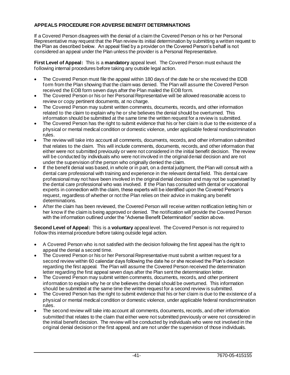# **APPEALS PROCEDURE FOR ADVERSE BENEFIT DETERMINATIONS**

If a Covered Person disagrees with the denial of a claim the Covered Person or his or her Personal Representative may request that the Plan review its initial determination by submitting a written request to the Plan as described below. An appeal filed by a provider on the Covered Person's behalf is not considered an appeal under the Plan unless the provider is a Personal Representative.

**First Level of Appeal:** This is a **mandatory** appeal level. The Covered Person must exhaust the following internal procedures before taking any outside legal action.

- The Covered Person must file the appeal within 180 days of the date he or she received the EOB form from the Plan showing that the claim was denied. The Plan will assume the Covered Person received the EOB form seven days after the Plan mailed the EOB form.
- The Covered Person or his or her Personal Representative will be allowed reasonable access to review or copy pertinent documents, at no charge.
- The Covered Person may submit written comments, documents, records, and other information related to the claim to explain why he or she believes the denial should be overturned. This information should be submitted at the same time the written request for a review is submitted.
- The Covered Person has the right to submit evidence that his or her claim is due to the existence of a physical or mental medical condition or domestic violence, under applicable federal nondiscrimination rules.
- The review will take into account all comments, documents, records, and other information submitted that relates to the claim. This will include comments, documents, records, and other information that either were not submitted previously or were not considered in the initial benefit decision. The review will be conducted by individuals who were not involved in the original denial decision and are not under the supervision of the person who originally denied the claim.
- If the benefit denial was based, in whole or in part, on a dental judgment, the Plan will consult with a dental care professional with training and experience in the relevant dental field. This dental care professional may not have been involved in the original denial decision and may not be supervised by the dental care professional who was involved. If the Plan has consulted with dental or vocational experts in connection with the claim, these experts will be identified upon the Covered Person's request, regardless of whether or not the Plan relies on their advice in making any benefit determinations.
- After the claim has been reviewed, the Covered Person will receive written notification letting him or her know if the claim is being approved or denied. The notification will provide the Covered Person with the information outlined under the "Adverse Benefit Determination" section above.

**Second Level of Appeal:** This is a **voluntary** appeal level. The Covered Person is not required to follow this internal procedure before taking outside legal action.

- A Covered Person who is not satisfied with the decision following the first appeal has the right to appeal the denial a second time.
- The Covered Person or his or her Personal Representative must submit a written request for a second review within 60 calendar days following the date he or she received the Plan's decision regarding the first appeal. The Plan will assume the Covered Person received the determination letter regarding the first appeal seven days after the Plan sent the determination letter.
- The Covered Person may submit written comments, documents, records, and other pertinent information to explain why he or she believes the denial should be overturned. This information should be submitted at the same time the written request for a second review is submitted.
- The Covered Person has the right to submit evidence that his or her claim is due to the existence of a physical or mental medical condition or domestic violence, under applicable federal nondiscrimination rules.
- The second review will take into account all comments, documents, records, and other information submitted that relates to the claim that either were not submitted previously or were not considered in the initial benefit decision. The review will be conducted by individuals who were not involved in the original denial decision or the first appeal, and are not under the supervision of those individuals.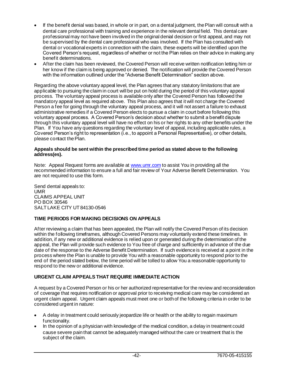- If the benefit denial was based, in whole or in part, on a dental judgment, the Plan will consult with a dental care professional with training and experience in the relevant dental field. This dental care professional may not have been involved in the original denial decision or first appeal, and may not be supervised by the dental care professional who was involved. If the Plan has consulted with dental or vocational experts in connection with the claim, these experts will be identified upon the Covered Person's request, regardless of whether or not the Plan relies on their advice in making any benefit determinations.
- After the claim has been reviewed, the Covered Person will receive written notification letting him or her know if the claim is being approved or denied. The notification will provide the Covered Person with the information outlined under the "Adverse Benefit Determination" section above.

Regarding the above voluntary appeal level, the Plan agrees that any statutory limitations that are applicable to pursuing the claim in court will be put on hold during the period of this voluntary appeal process. The voluntary appeal process is available only after the Covered Person has followed the mandatory appeal level as required above. This Plan also agrees that it will not charge the Covered Person a fee for going through the voluntary appeal process, and it will not assert a failure to exhaust administrative remedies if a Covered Person elects to pursue a claim in court before following this voluntary appeal process. A Covered Person's decision about whether to submit a benefit dispute through this voluntary appeal level will have no effect on his or her rights to any other benefits under the Plan. If You have any questions regarding the voluntary level of appeal, including applicable rules, a Covered Person's right to representation (i.e., to appoint a Personal Representative), or other details, please contact the Plan.

#### **Appeals should be sent within the prescribed time period as stated above to the following address(es).**

Note: Appeal Request forms are available a[t www.umr.com](http://www.umr.com/) to assist You in providing all the recommended information to ensure a full and fair review of Your Adverse Benefit Determination. You are not required to use this form.

Send dental appeals to: UMR CLAIMS APPEAL UNIT PO BOX 30546 SALT LAKE CITY UT 84130-0546

# **TIME PERIODS FOR MAKING DECISIONS ON APPEALS**

After reviewing a claim that has been appealed, the Plan will notify the Covered Person of its decision within the following timeframes, although Covered Persons may voluntarily extend these timelines. In addition, if any new or additional evidence is relied upon or generated during the determination of the appeal, the Plan will provide such evidence to You free of charge and sufficiently in advance of the due date of the response to the Adverse Benefit Determination. If such evidence is received at a point in the process where the Plan is unable to provide You with a reasonable opportunity to respond prior to the end of the period stated below, the time period will be tolled to allow You a reasonable opportunity to respond to the new or additional evidence.

# **URGENT CLAIM APPEALS THAT REQUIRE IMMEDIATE ACTION**

A request by a Covered Person or his or her authorized representative for the review and reconsideration of coverage that requires notification or approval prior to receiving medical care may be considered an urgent claim appeal. Urgent claim appeals must meet one or both of the following criteria in order to be considered urgent in nature:

- A delay in treatment could seriously jeopardize life or health or the ability to regain maximum functionality.
- In the opinion of a physician with knowledge of the medical condition, a delay in treatment could cause severe pain that cannot be adequately managed without the care or treatment that is the subject of the claim.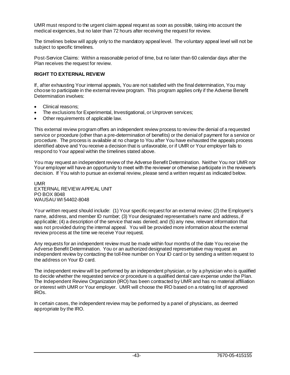UMR must respond to the urgent claim appeal request as soon as possible, taking into account the medical exigencies, but no later than 72 hours after receiving the request for review.

The timelines below will apply only to the mandatory appeal level. The voluntary appeal level will not be subject to specific timelines.

Post-Service Claims: Within a reasonable period of time, but no later than 60 calendar days after the Plan receives the request for review.

# **RIGHT TO EXTERNAL REVIEW**

If, after exhausting Your internal appeals, You are not satisfied with the final determination, You may choose to participate in the external review program. This program applies only if the Adverse Benefit Determination involves:

- Clinical reasons;
- The exclusions for Experimental, Investigational, or Unproven services;
- Other requirements of applicable law.

This external review program offers an independent review process to review the denial of a requested service or procedure (other than a pre-determination of benefits) or the denial of payment for a service or procedure. The process is available at no charge to You after You have exhausted the appeals process identified above and You receive a decision that is unfavorable, or if UMR or Your employer fails to respond to Your appeal within the timelines stated above.

You may request an independent review of the Adverse Benefit Determination. Neither You nor UMR nor Your employer will have an opportunity to meet with the reviewer or otherwise participate in the reviewer's decision. If You wish to pursue an external review, please send a written request as indicated below.

UMR EXTERNAL REVIEW APPEAL UNIT PO BOX 8048 WAUSAU WI 54402-8048

Your written request should include: (1) Your specific request for an external review; (2) the Employee's name, address, and member ID number; (3) Your designated representative's name and address, if applicable; (4) a description of the service that was denied; and (5) any new, relevant information that was not provided during the internal appeal. You will be provided more information about the external review process at the time we receive Your request.

Any requests for an independent review must be made within four months of the date You receive the Adverse Benefit Determination. You or an authorized designated representative may request an independent review by contacting the toll-free number on Your ID card or by sending a written request to the address on Your ID card.

The independent review will be performed by an independent physician, or by a physician who is qualified to decide whether the requested service or procedure is a qualified dental care expense under the Plan. The Independent Review Organization (IRO) has been contracted by UMR and has no material affiliation or interest with UMR or Your employer. UMR will choose the IRO based on a rotating list of approved IROs.

In certain cases, the independent review may be performed by a panel of physicians, as deemed appropriate by the IRO.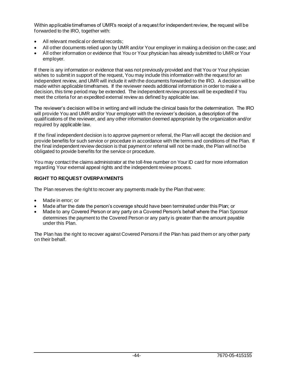Within applicable timeframes of UMR's receipt of a request for independent review, the request will be forwarded to the IRO, together with:

- All relevant medical or dental records;
- All other documents relied upon by UMR and/or Your employer in making a decision on the case; and
- All other information or evidence that You or Your physician has already submitted to UMR or Your employer.

If there is any information or evidence that was not previously provided and that You or Your physician wishes to submit in support of the request, You may include this information with the request for an independent review, and UMR will include it with the documents forwarded to the IRO. A decision will be made within applicable timeframes. If the reviewer needs additional information in order to make a decision, this time period may be extended. The independent review process will be expedited if You meet the criteria for an expedited external review as defined by applicable law.

The reviewer's decision will be in writing and will include the clinical basis for the determination. The IRO will provide You and UMR and/or Your employer with the reviewer's decision, a description of the qualifications of the reviewer, and any other information deemed appropriate by the organization and/or required by applicable law.

If the final independent decision is to approve payment or referral, the Plan will accept the decision and provide benefits for such service or procedure in accordance with the terms and conditions of the Plan. If the final independent review decision is that payment or referral will not be made, the Plan will not be obligated to provide benefits for the service or procedure.

You may contact the claims administrator at the toll-free number on Your ID card for more information regarding Your external appeal rights and the independent review process.

# **RIGHT TO REQUEST OVERPAYMENTS**

The Plan reserves the right to recover any payments made by the Plan that were:

- Made in error; or
- Made after the date the person's coverage should have been terminated under this Plan; or
- Made to any Covered Person or any party on a Covered Person's behalf where the Plan Sponsor determines the payment to the Covered Person or any party is greater than the amount payable under this Plan.

The Plan has the right to recover against Covered Persons if the Plan has paid them or any other party on their behalf.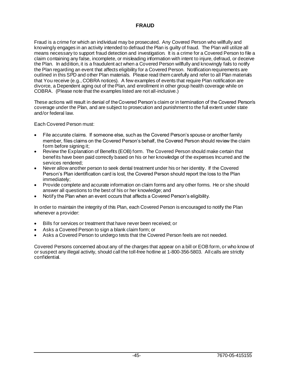# **FRAUD**

Fraud is a crime for which an individual may be prosecuted. Any Covered Person who willfully and knowingly engages in an activity intended to defraud the Plan is guilty of fraud. The Plan will utilize all means necessary to support fraud detection and investigation. It is a crime for a Covered Person to file a claim containing any false, incomplete, or misleading information with intent to injure, defraud, or deceive the Plan. In addition, it is a fraudulent act when a Covered Person willfully and knowingly fails to notify the Plan regarding an event that affects eligibility for a Covered Person. Notification requirements are outlined in this SPD and other Plan materials. Please read them carefully and refer to all Plan materials that You receive (e.g., COBRA notices). A few examples of events that require Plan notification are divorce, a Dependent aging out of the Plan, and enrollment in other group health coverage while on COBRA. (Please note that the examples listed are not all-inclusive.)

These actions will result in denial of the Covered Person's claim or in termination of the Covered Person's coverage under the Plan, and are subject to prosecution and punishment to the full extent under state and/or federal law.

Each Covered Person must:

- File accurate claims. If someone else, such as the Covered Person's spouse or another family member, files claims on the Covered Person's behalf, the Covered Person should review the claim form before signing it;
- Review the Explanation of Benefits (EOB) form. The Covered Person should make certain that benefits have been paid correctly based on his or her knowledge of the expenses Incurred and the services rendered;
- Never allow another person to seek dental treatment under his or her identity. If the Covered Person's Plan identification card is lost, the Covered Person should report the loss to the Plan immediately;
- Provide complete and accurate information on claim forms and any other forms. He or she should answer all questions to the best of his or her knowledge; and
- Notify the Plan when an event occurs that affects a Covered Person's eligibility.

In order to maintain the integrity of this Plan, each Covered Person is encouraged to notify the Plan whenever a provider:

- Bills for services or treatment that have never been received; or
- Asks a Covered Person to sign a blank claim form; or
- Asks a Covered Person to undergo tests that the Covered Person feels are not needed.

Covered Persons concerned about any of the charges that appear on a bill or EOB form, or who know of or suspect any illegal activity, should call the toll-free hotline at 1-800-356-5803. All calls are strictly confidential.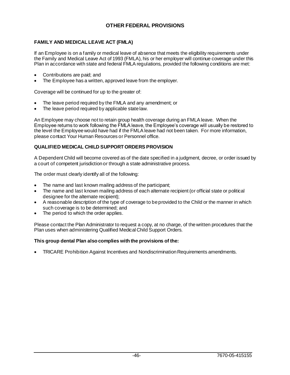# **OTHER FEDERAL PROVISIONS**

# **FAMILY AND MEDICAL LEAVE ACT (FMLA)**

If an Employee is on a family or medical leave of absence that meets the eligibility requirements under the Family and Medical Leave Act of 1993 (FMLA), his or her employer will continue coverage under this Plan in accordance with state and federal FMLA regulations, provided the following conditions are met:

- Contributions are paid; and
- The Employee has a written, approved leave from the employer.

Coverage will be continued for up to the greater of:

- The leave period required by the FMLA and any amendment; or
- The leave period required by applicable state law.

An Employee may choose not to retain group health coverage during an FMLA leave. When the Employee returns to work following the FMLA leave, the Employee's coverage will usually be restored to the level the Employee would have had if the FMLA leave had not been taken. For more information, please contact Your Human Resources or Personnel office.

# **QUALIFIED MEDICAL CHILD SUPPORT ORDERS PROVISION**

A Dependent Child will become covered as of the date specified in a judgment, decree, or order issued by a court of competent jurisdiction or through a state administrative process.

The order must clearly identify all of the following:

- The name and last known mailing address of the participant;
- The name and last known mailing address of each alternate recipient (or official state or political designee for the alternate recipient);
- A reasonable description of the type of coverage to be provided to the Child or the manner in which such coverage is to be determined; and
- The period to which the order applies.

Please contact the Plan Administrator to request a copy, at no charge, of the written procedures that the Plan uses when administering Qualified Medical Child Support Orders.

### **This group dental Plan also complies with the provisions of the:**

• TRICARE Prohibition Against Incentives and Nondiscrimination Requirements amendments.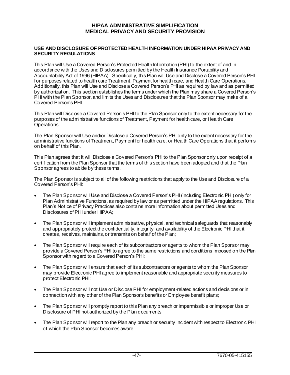# **HIPAA ADMINISTRATIVE SIMPLIFICATION MEDICAL PRIVACY AND SECURITY PROVISION**

### **USE AND DISCLOSURE OF PROTECTED HEALTH INFORMATION UNDER HIPAA PRIVACY AND SECURITY REGULATIONS**

This Plan will Use a Covered Person's Protected Health Information (PHI) to the extent of and in accordance with the Uses and Disclosures permitted by the Health Insurance Portability and Accountability Act of 1996 (HIPAA). Specifically, this Plan will Use and Disclose a Covered Person's PHI for purposes related to health care Treatment, Payment for health care, and Health Care Operations. Additionally, this Plan will Use and Disclose a Covered Person's PHI as required by law and as permitted by authorization. This section establishes the terms under which the Plan may share a Covered Person's PHI with the Plan Sponsor, and limits the Uses and Disclosures that the Plan Sponsor may make of a Covered Person's PHI.

This Plan will Disclose a Covered Person's PHI to the Plan Sponsor only to the extent necessary for the purposes of the administrative functions of Treatment, Payment for health care, or Health Care Operations.

The Plan Sponsor will Use and/or Disclose a Covered Person's PHI only to the extent necessary for the administrative functions of Treatment, Payment for health care, or Health Care Operations that it performs on behalf of this Plan.

This Plan agrees that it will Disclose a Covered Person's PHI to the Plan Sponsor only upon receipt of a certification from the Plan Sponsor that the terms of this section have been adopted and that the Plan Sponsor agrees to abide by these terms.

The Plan Sponsor is subject to all of the following restrictions that apply to the Use and Disclosure of a Covered Person's PHI:

- The Plan Sponsor will Use and Disclose a Covered Person's PHI (including Electronic PHI) only for Plan Administrative Functions, as required by law or as permitted under the HIPAA regulations. This Plan's Notice of Privacy Practices also contains more information about permitted Uses and Disclosures of PHI under HIPAA;
- The Plan Sponsor will implement administrative, physical, and technical safeguards that reasonably and appropriately protect the confidentiality, integrity, and availability of the Electronic PHI that it creates, receives, maintains, or transmits on behalf of the Plan;
- The Plan Sponsor will require each of its subcontractors or agents to whom the Plan Sponsor may provide a Covered Person's PHI to agree to the same restrictions and conditions imposed on the Plan Sponsor with regard to a Covered Person's PHI;
- The Plan Sponsor will ensure that each of its subcontractors or agents to whom the Plan Sponsor may provide Electronic PHI agree to implement reasonable and appropriate security measures to protect Electronic PHI;
- The Plan Sponsor will not Use or Disclose PHI for employment-related actions and decisions or in connection with any other of the Plan Sponsor's benefits or Employee benefit plans;
- The Plan Sponsor will promptly report to this Plan any breach or impermissible or improper Use or Disclosure of PHI not authorized by the Plan documents;
- The Plan Sponsor will report to the Plan any breach or security incident with respect to Electronic PHI of which the Plan Sponsor becomes aware;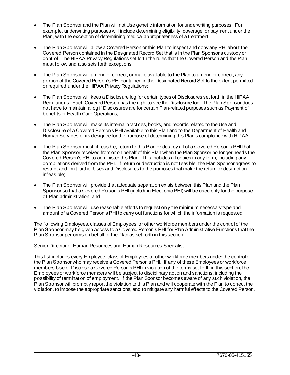- The Plan Sponsor and the Plan will not Use genetic information for underwriting purposes. For example, underwriting purposes will include determining eligibility, coverage, or payment under the Plan, with the exception of determining medical appropriateness of a treatment;
- The Plan Sponsor will allow a Covered Person or this Plan to inspect and copy any PHI about the Covered Person contained in the Designated Record Set that is in the Plan Sponsor's custody or control. The HIPAA Privacy Regulations set forth the rules that the Covered Person and the Plan must follow and also sets forth exceptions;
- The Plan Sponsor will amend or correct, or make available to the Plan to amend or correct, any portion of the Covered Person's PHI contained in the Designated Record Set to the extent permitted or required under the HIPAA Privacy Regulations;
- The Plan Sponsor will keep a Disclosure log for certain types of Disclosures set forth in the HIPAA Regulations. Each Covered Person has the right to see the Disclosure log. The Plan Sponsor does not have to maintain a log if Disclosures are for certain Plan-related purposes such as Payment of benefits or Health Care Operations;
- The Plan Sponsor will make its internal practices, books, and records related to the Use and Disclosure of a Covered Person's PHI available to this Plan and to the Department of Health and Human Services or its designee for the purpose of determining this Plan's compliance with HIPAA;
- The Plan Sponsor must, if feasible, return to this Plan or destroy all of a Covered Person's PHI that the Plan Sponsor received from or on behalf of this Plan when the Plan Sponsor no longer needs the Covered Person's PHI to administer this Plan. This includes all copies in any form, including any compilations derived from the PHI. If return or destruction is not feasible, the Plan Sponsor agrees to restrict and limit further Uses and Disclosures to the purposes that make the return or destruction infeasible;
- The Plan Sponsor will provide that adequate separation exists between this Plan and the Plan Sponsor so that a Covered Person's PHI (including Electronic PHI) will be used only for the purpose of Plan administration; and
- The Plan Sponsor will use reasonable efforts to request only the minimum necessary type and amount of a Covered Person's PHI to carry out functions for which the information is requested.

The following Employees, classes of Employees, or other workforce members under the control of the Plan Sponsor may be given access to a Covered Person's PHI for Plan Administrative Functions that the Plan Sponsor performs on behalf of the Plan as set forth in this section:

Senior Director of Human Resources and Human Resources Specialist

This list includes every Employee, class of Employees or other workforce members under the control of the Plan Sponsor who may receive a Covered Person's PHI. If any of these Employees or workforce members Use or Disclose a Covered Person's PHI in violation of the terms set forth in this section, the Employees or workforce members will be subject to disciplinary action and sanctions, including the possibility of termination of employment. If the Plan Sponsor becomes aware of any such violation, the Plan Sponsor will promptly report the violation to this Plan and will cooperate with the Plan to correct the violation, to impose the appropriate sanctions, and to mitigate any harmful effects to the Covered Person.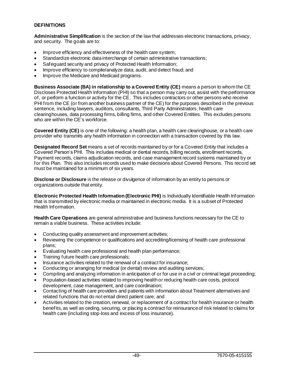# **DEFINITIONS**

**Administrative Simplification** is the section of the law that addresses electronic transactions, privacy, and security. The goals are to:

- Improve efficiency and effectiveness of the health care system;
- Standardize electronic data interchange of certain administrative transactions;
- Safeguard security and privacy of Protected Health Information;
- Improve efficiency to compile/analyze data, audit, and detect fraud; and
- Improve the Medicare and Medicaid programs.

**Business Associate (BA) in relationship to a Covered Entity (CE)** means a person to whom the CE Discloses Protected Health Information (PHI) so that a person may carry out, assist with the performance of, or perform a function or activity for the CE. This includes contractors or other persons who receive PHI from the CE (or from another business partner of the CE) for the purposes described in the previous sentence, including lawyers, auditors, consultants, Third Party Administrators, health care clearinghouses, data processing firms, billing firms, and other Covered Entities. This excludes persons who are within the CE's workforce.

**Covered Entity (CE)** is one of the following: a health plan, a health care clearinghouse, or a health care provider who transmits any health information in connection with a transaction covered by this law.

**Designated Record Set** means a set of records maintained by or for a Covered Entity that includes a Covered Person's PHI. This includes medical or dental records, billing records, enrollment records, Payment records, claims adjudication records, and case management record systems maintained by or for this Plan. This also includes records used to make decisions about Covered Persons. This record set must be maintained for a minimum of six years.

**Disclose or Disclosure** is the release or divulgence of information by an entity to persons or organizations outside that entity.

**Electronic Protected Health Information (Electronic PHI)** is Individually Identifiable Health Information that is transmitted by electronic media or maintained in electronic media. It is a subset of Protected Health Information.

**Health Care Operations** are general administrative and business functions necessary for the CE to remain a viable business. These activities include:

- Conducting quality assessment and improvement activities;
- Reviewing the competence or qualifications and accrediting/licensing of health care professional plans;
- Evaluating health care professional and health plan performance;
- Training future health care professionals;
- Insurance activities related to the renewal of a contract for insurance;
- Conducting or arranging for medical (or dental) review and auditing services;
- Compiling and analyzing information in anticipation of or for use in a civil or criminal legal proceeding;
- Population-based activities related to improving health or reducing health care costs, protocol development, case management, and care coordination;
- Contacting of health care providers and patients with information about Treatment alternatives and related functions that do not entail direct patient care; and
- Activities related to the creation, renewal, or replacement of a contract for health insurance or health benefits, as well as ceding, securing, or placing a contract for reinsurance of risk related to claims for health care (including stop-loss and excess of loss insurance).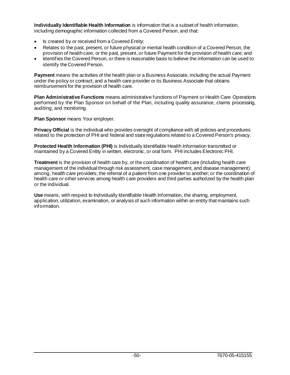**Individually Identifiable Health Information** is information that is a subset of health information, including demographic information collected from a Covered Person, and that:

- Is created by or received from a Covered Entity;
- Relates to the past, present, or future physical or mental health condition of a Covered Person, the provision of health care, or the past, present, or future Payment for the provision of health care; and
- Identifies the Covered Person, or there is reasonable basis to believe the information can be used to identify the Covered Person.

**Payment** means the activities of the health plan or a Business Associate, including the actual Payment under the policy or contract; and a health care provider or its Business Associate that obtains reimbursement for the provision of health care.

**Plan Administrative Functions** means administrative functions of Payment or Health Care Operations performed by the Plan Sponsor on behalf of the Plan, including quality assurance, claims processing, auditing, and monitoring.

**Plan Sponsor** means Your employer.

**Privacy Official** is the individual who provides oversight of compliance with all policies and procedures related to the protection of PHI and federal and state regulations related to a Covered Person's privacy.

**Protected Health Information (PHI)** is Individually Identifiable Health Information transmitted or maintained by a Covered Entity in written, electronic, or oral form. PHI includes Electronic PHI.

**Treatment** is the provision of health care by, or the coordination of health care (including health care management of the individual through risk assessment, case management, and disease management) among, health care providers; the referral of a patient from one provider to another; or the coordination of health care or other services among health care providers and third parties authorized by the health plan or the individual.

**Use** means, with respect to Individually Identifiable Health Information, the sharing, employment, application, utilization, examination, or analysis of such information within an entity that maintains such information.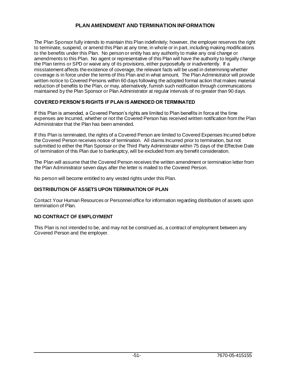# **PLAN AMENDMENT AND TERMINATION INFORMATION**

The Plan Sponsor fully intends to maintain this Plan indefinitely; however, the employer reserves the right to terminate, suspend, or amend this Plan at any time, in whole or in part, including making modifications to the benefits under this Plan. No person or entity has any authority to make any oral change or amendments to this Plan. No agent or representative of this Plan will have the authority to legally change the Plan terms or SPD or waive any of its provisions, either purposefully or inadvertently. If a misstatement affects the existence of coverage, the relevant facts will be used in determining whether coverage is in force under the terms of this Plan and in what amount. The Plan Administrator will provide written notice to Covered Persons within 60 days following the adopted formal action that makes material reduction of benefits to the Plan, or may, alternatively, furnish such notification through communications maintained by the Plan Sponsor or Plan Administrator at regular intervals of no greater than 90 days.

# **COVERED PERSON'S RIGHTS IF PLAN IS AMENDED OR TERMINATED**

If this Plan is amended, a Covered Person's rights are limited to Plan benefits in force at the time expenses are Incurred, whether or not the Covered Person has received written notification from the Plan Administrator that the Plan has been amended.

If this Plan is terminated, the rights of a Covered Person are limited to Covered Expenses Incurred before the Covered Person receives notice of termination. All claims Incurred prior to termination, but not submitted to either the Plan Sponsor or the Third Party Administrator within 75 days of the Effective Date of termination of this Plan due to bankruptcy, will be excluded from any benefit consideration.

The Plan will assume that the Covered Person receives the written amendment or termination letter from the Plan Administrator seven days after the letter is mailed to the Covered Person.

No person will become entitled to any vested rights under this Plan.

# **DISTRIBUTION OF ASSETS UPON TERMINATION OF PLAN**

Contact Your Human Resources or Personnel office for information regarding distribution of assets upon termination of Plan.

### **NO CONTRACT OF EMPLOYMENT**

This Plan is not intended to be, and may not be construed as, a contract of employment between any Covered Person and the employer.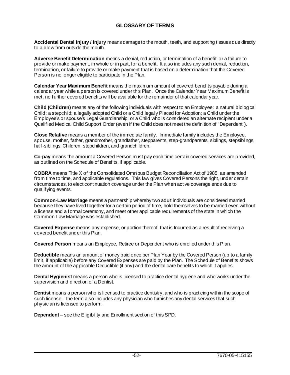# **GLOSSARY OF TERMS**

**Accidental Dental Injury / Injury** means damage to the mouth, teeth, and supporting tissues due directly to a blow from outside the mouth.

**Adverse Benefit Determination** means a denial, reduction, or termination of a benefit, or a failure to provide or make payment, in whole or in part, for a benefit. It also includes any such denial, reduction, termination, or failure to provide or make payment that is based on a determination that the Covered Person is no longer eligible to participate in the Plan.

**Calendar Year Maximum Benefit** means the maximum amount of covered benefits payable during a calendar year while a person is covered under this Plan. Once the Calendar Year Maximum Benefit is met, no further covered benefits will be available for the remainder of that calendar year.

**Child (Children)** means any of the following individuals with respect to an Employee: a natural biological Child; a stepchild; a legally adopted Child or a Child legally Placed for Adoption; a Child under the Employee's or spouse's Legal Guardianship; or a Child who is considered an alternate recipient under a Qualified Medical Child Support Order (even if the Child does not meet the definition of "Dependent").

**Close Relative** means a member of the immediate family. Immediate family includes the Employee, spouse, mother, father, grandmother, grandfather, stepparents, step-grandparents, siblings, stepsiblings, half-siblings, Children, stepchildren, and grandchildren.

**Co-pay** means the amount a Covered Person must pay each time certain covered services are provided, as outlined on the Schedule of Benefits, if applicable.

**COBRA** means Title X of the Consolidated Omnibus Budget Reconciliation Act of 1985, as amended from time to time, and applicable regulations. This law gives Covered Persons the right, under certain circumstances, to elect continuation coverage under the Plan when active coverage ends due to qualifying events.

**Common-Law Marriage** means a partnership whereby two adult individuals are considered married because they have lived together for a certain period of time, hold themselves to be married even without a license and a formal ceremony, and meet other applicable requirements of the state in which the Common-Law Marriage was established.

**Covered Expense** means any expense, or portion thereof, that is Incurred as a result of receiving a covered benefit under this Plan.

**Covered Person** means an Employee, Retiree or Dependent who is enrolled under this Plan.

**Deductible** means an amount of money paid once per Plan Year by the Covered Person (up to a family limit, if applicable) before any Covered Expenses are paid by the Plan. The Schedule of Benefits shows the amount of the applicable Deductible (if any) and the dental care benefits to which it applies.

**Dental Hygienist** means a person who is licensed to practice dental hygiene and who works under the supervision and direction of a Dentist.

**Dentist** means a person who is licensed to practice dentistry, and who is practicing within the scope of such license. The term also includes any physician who furnishes any dental services that such physician is licensed to perform.

**Dependent** – see the Eligibility and Enrollment section of this SPD.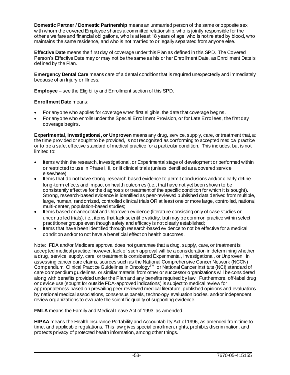**Domestic Partner / Domestic Partnership** means an unmarried person of the same or opposite sex with whom the covered Employee shares a committed relationship, who is jointly responsible for the other's welfare and financial obligations, who is at least 18 years of age, who is not related by blood, who maintains the same residence, and who is not married to or legally separated from anyone else.

**Effective Date** means the first day of coverage under this Plan as defined in this SPD. The Covered Person's Effective Date may or may not be the same as his or her Enrollment Date, as Enrollment Date is defined by the Plan.

**Emergency Dental Care** means care of a dental condition that is required unexpectedly and immediately because of an Injury or Illness.

**Employee** – see the Eligibility and Enrollment section of this SPD.

# **Enrollment Date** means:

- For anyone who applies for coverage when first eligible, the date that coverage begins.
- For anyone who enrolls under the Special Enrollment Provision, or for Late Enrollees, the first day coverage begins.

**Experimental, Investigational, or Unproven** means any drug, service, supply, care, or treatment that, at the time provided or sought to be provided, is not recognized as conforming to accepted medical practice or to be a safe, effective standard of medical practice for a particular condition. This includes, but is not limited to:

- Items within the research, Investigational, or Experimental stage of development or performed within or restricted to use in Phase I, II, or III clinical trials (unless identified as a covered service elsewhere);
- Items that do not have strong, research-based evidence to permit conclusions and/or clearly define long-term effects and impact on health outcomes (i.e., that have not yet been shown to be consistently effective for the diagnosis or treatment of the specific condition for which it is sought). Strong, research-based evidence is identified as peer-reviewed published data derived from multiple, large, human, randomized, controlled clinical trials OR at least one or more large, controlled, national, multi-center, population-based studies;
- Items based on anecdotal and Unproven evidence (literature consisting only of case studies or uncontrolled trials), i.e., items that lack scientific validity, but may be common practice within select practitioner groups even though safety and efficacy is not clearly established;
- Items that have been identified through research-based evidence to not be effective for a medical condition and/or to not have a beneficial effect on health outcomes.

Note: FDA and/or Medicare approval does not quarantee that a drug, supply, care, or treatment is accepted medical practice; however, lack of such approval will be a consideration in determining whether a drug, service, supply, care, or treatment is considered Experimental, Investigational, or Unproven. In assessing cancer care claims, sources such as the National Comprehensive Cancer Network (NCCN) Compendium, Clinical Practice Guidelines in Oncology<sup>TM</sup>, or National Cancer Institute (NCI) standard of care compendium guidelines, or similar material from other or successor organizations will be considered along with benefits provided under the Plan and any benefits required by law. Furthermore, off-label drug or device use (sought for outside FDA-approved indications) is subject to medical review for appropriateness based on prevailing peer-reviewed medical literature, published opinions and evaluations by national medical associations, consensus panels, technology evaluation bodies, and/or independent review organizations to evaluate the scientific quality of supporting evidence.

**FMLA** means the Family and Medical Leave Act of 1993, as amended.

**HIPAA** means the Health Insurance Portability and Accountability Act of 1996, as amended from time to time, and applicable regulations. This law gives special enrollment rights, prohibits discrimination, and protects privacy of protected health information, among other things.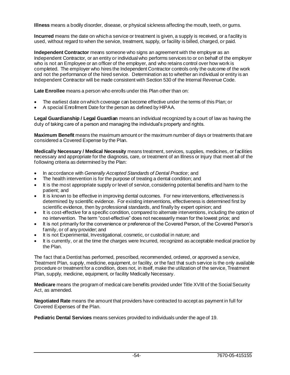**Illness** means a bodily disorder, disease, or physical sickness affecting the mouth, teeth, or gums.

**Incurred** means the date on which a service or treatment is given, a supply is received, or a facility is used, without regard to when the service, treatment, supply, or facility is billed, charged, or paid.

**Independent Contractor** means someone who signs an agreement with the employer as an Independent Contractor, or an entity or individual who performs services to or on behalf of the employer who is not an Employee or an officer of the employer, and who retains control over how work is completed. The employer who hires the Independent Contractor controls only the outcome of the work and not the performance of the hired service. Determination as to whether an individual or entity is an Independent Contractor will be made consistent with Section 530 of the Internal Revenue Code.

**Late Enrollee** means a person who enrolls under this Plan other than on:

- The earliest date on which coverage can become effective under the terms of this Plan; or
- A special Enrollment Date for the person as defined by HIPAA.

**Legal Guardianship / Legal Guardian** means an individual recognized by a court of law as having the duty of taking care of a person and managing the individual's property and rights.

**Maximum Benefit** means the maximum amount or the maximum number of days or treatments that are considered a Covered Expense by the Plan.

**Medically Necessary / Medical Necessity** means treatment, services, supplies, medicines, or facilities necessary and appropriate for the diagnosis, care, or treatment of an Illness or Injury that meet all of the following criteria as determined by the Plan:

- In accordance with *Generally Accepted Standards of Dental Practice*; and
- The health intervention is for the purpose of treating a dental condition; and
- It is the most appropriate supply or level of service, considering potential benefits and harm to the patient; and
- It is known to be effective in improving dental outcomes. For new interventions, effectiveness is determined by scientific evidence. For existing interventions, effectiveness is determined first by scientific evidence, then by professional standards, and finally by expert opinion; and
- It is cost-effective for a specific condition, compared to alternate interventions, including the option of no intervention. The term "cost-effective" does not necessarily mean for the lowest price; and
- It is not primarily for the convenience or preference of the Covered Person, of the Covered Person's family, or of any provider; and
- It is not Experimental, Investigational, cosmetic, or custodial in nature; and
- It is currently, or at the time the charges were Incurred, recognized as acceptable medical practice by the Plan.

The fact that a Dentist has performed, prescribed, recommended, ordered, or approved a service, Treatment Plan, supply, medicine, equipment, or facility, or the fact that such service is the only available procedure or treatment for a condition, does not, in itself, make the utilization of the service, Treatment Plan, supply, medicine, equipment, or facility Medically Necessary.

**Medicare** means the program of medical care benefits provided under Title XVIII of the Social Security Act, as amended.

**Negotiated Rate** means the amount that providers have contracted to accept as payment in full for Covered Expenses of the Plan.

**Pediatric Dental Services** means services provided to individuals under the age of 19.